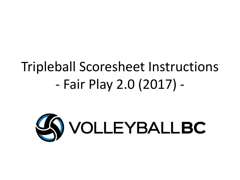# Tripleball Scoresheet Instructions - Fair Play 2.0 (2017) -

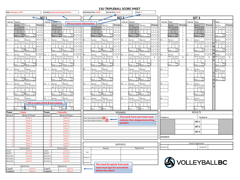| Actual Time: 14:10<br>Court: 1<br>Scheduled Time: 14:00<br>Date: February 1, 2017<br><b>Location: Harry Jerome Sports Centre</b><br>SET 1<br>SET <sub>3</sub><br>◆<br>SET <sub>2</sub><br>Line up Team B:<br>Team A:<br>Line up<br>Line up<br>Team A:<br>Line up<br>Line up<br>Team :<br>Team :<br>Team :<br>Fill out event information.<br>Points<br><b>Points</b><br><b>Points</b><br>Points<br><b>Points</b><br><b>Points</b><br>P1: /<br>P1:<br>P1: /<br>ierver:<br>Server:<br>Server:<br>Server:<br>erver:<br>Server:<br>P1: /<br>Server:<br>P1<br>Server:<br>Server:<br>B<br>$\overline{B}$<br>A To<br>A Tos<br>B Tos<br>B Tos Tos<br>$1 \vert 1 \vert$<br>Tos<br>sto<br>Tos<br>s to<br>$1 \mid 1 \mid 2$<br>$\mathbf{1}$<br>2nd<br>Tos<br>111<br>1st<br>2nd<br>Tos<br>Tos<br>Serv sto<br>sto<br>s to<br>s to<br>$s$ to<br>s to<br>s to<br>$s$ to<br>Serv sto<br>Tos<br>Serv<br>$\overline{2}$<br>5<br>2 <sup>1</sup> 3<br>$\pm$<br>$1 \vert 2$<br>12<br>$\overline{\mathbf{3}}$<br>3 1<br>3<br>Scc<br>Sco<br>Sco<br>Sco<br>Scc<br>Scc<br>Sco<br>Scc<br>Sco<br>S <sub>CC</sub><br>Sco<br>$\overline{4}$<br>Score :<br>Score :<br>Score :<br>Score :<br>Score :<br>Score:<br>Score :<br>Score :<br>Score :<br>Score :<br>Score :<br>re<br>5<br>P2: /<br>6<br>P2:<br>Server:<br>P <sub>2</sub> :<br>Server:<br>Server:<br>py.<br>Server<br>P2:<br>Server:<br>Server:<br>Server:<br>Server:<br>Server:<br>Server:<br>Server:<br>$\overline{B}$<br>B Tos Tos<br>B Tos<br>$\overline{7}$<br>Tos<br>A Tos<br>B Tos<br>Serv sto<br>Гоs<br>Tos<br>Tos<br>A<br>Tos<br>Serv<br>1st<br>Serv<br>1st<br>Serv 1st 2<br>Α<br>Гоs<br>Гоs<br>ios l<br>$\cdot$<br>s to<br>Serv<br>s to<br>e Tos<br>Serv<br>Serv sto<br>to:<br>Serv sto<br>e Tos<br>Tos<br>Serv<br>ľos<br>8<br>$\cdot$<br>$\overline{9}$<br>l 1<br>9 <sup>11</sup><br>Sco<br>Sco<br>Scc<br>Sco<br>Sco<br>Sco<br>Sco<br>Sco<br>$\,$ 1 $\,$<br>Sco<br>Sco<br>Soc<br>17<br>Score :<br>Score:<br>Score:<br>Score :<br>Score:<br>Score :<br>Score:<br>Score :<br>Score:<br>Score :<br>Score :<br>ro<br>ra<br>$r_{\Omega}$<br>$\mathsf 0$<br>113<br>$1 \overline{\phantom{a}}3$<br>1 L<br>$0 \mid 1 \mid 3$<br>0 <sup>11</sup><br>$0\quad1$<br>$1 \vert 8$<br>$180$<br>8 0<br>180<br>$1 \quad 8$<br>P3: /<br>8 <sup>1</sup><br>P3:<br>P3: /<br>P3:<br>P3:<br>P3:<br>Server:<br>Server:<br>Server:<br>Server:<br>Server:<br>Server:<br>Server:<br>Server:<br>Server:<br>Server:<br>Server:<br>$\overline{B}$<br>B Tos<br>A<br>B Tos<br>B Tos<br>$\mathsf{A}$<br>1st<br>'os<br>Tos<br>ľos<br>Tos<br>Serv<br>1st<br>1st<br>2m<br>Serv<br>A<br>Tos<br>'ns<br>Α<br>Tos<br>Serv<br>$\mathsf T$<br>$\mathsf T$<br>$\mathbf T$<br>$\mathbf T$<br>$\mathsf T$<br>$\mathsf T$<br>$\mathbf T$<br>ľos<br>$\pm$<br>$\pm$<br>$\pm$<br>$\pm$<br>$\ddot{\phantom{a}}$<br>÷<br>$\pm$<br>$\sim$<br>Sco<br>Soc<br>Sco<br>Sco<br>Sco<br>Sco<br>Scc<br>$\ddot{\phantom{a}}$<br>$\cdot$<br>÷<br>÷<br>Score :<br><b>Score</b><br>Score :<br>Score :<br>core<br>Score:<br>Score<br>Score<br>Score<br>Score :<br>$\cdot$<br>core<br>P4: /<br>94: /<br>P4:<br>P4: /<br>Server:<br>Server:<br>Server:<br>Server:<br>P4: /<br>Server:<br>Server:<br>Server:<br>Server:<br>P4:<br>Server:<br>Server:<br>A<br>B<br>А<br>Tos<br>в<br>Tos<br>Tos<br>B<br>Tos<br>B Tos<br><b>Tos</b><br>$\mathsf{A}$<br>Tos<br>1st<br>Serv<br>1st<br>'ns<br>Tos<br>Tos<br>Tos<br>'ns<br>Tos<br>Tos<br>A<br>Tos<br>Serv<br>2nr<br>$\sim$<br>s to<br>To<br>Sory<br>Serv<br>: te<br>san.<br>s tr<br>Serv<br>nt a<br>s ta<br>Toe<br>$\sim$<br>$\pm$<br>Sco<br>Sco<br>Sco<br>Sco<br>Sco<br>Soc<br>$\operatorname{Sco}$<br>So<br>Soc<br>Score :<br>Score:<br>Score :<br>Score:<br>Score:<br>Score :<br>Score :<br>Score :<br>Score :<br>Score :<br>re:<br>$r_{\Omega}$<br>P5: /<br>95: /<br>P5: /<br>Server:<br>P5:<br>P5:<br>Server:<br>Server:<br>Server:<br>Server:<br>Server:<br>Server:<br>Server:<br>P5:<br>Server:<br>B<br>A Tos<br>в<br>B Tos<br>B Tos<br>A Tos Tos<br>$\mathsf{A}$<br>Tos<br>'ns<br>Tos<br>Tos<br>Tos<br>Tos<br>Tos<br>Tos<br>$\mathsf{A}$<br>ľos<br>Serv<br>1st<br>e to<br>etc<br>$\sim$<br>Sco<br>Sco<br>Scc<br>Sco<br>Sco<br>Soc<br>Sco<br>Scc<br><sub>So</sub><br>Score : $\frac{1}{10}$<br>Score : $\frac{6}{10}$<br>Score : $\frac{1}{10}$<br>Score :<br>Score : $\frac{m}{r e}$<br>Score : $\frac{1}{16}$<br>Score :<br>Score : $_{\text{re}}$<br>Score :<br>re:<br>P6: /<br>P6:<br>P6:<br>P6:<br>Server:<br>Server<br>Server:<br>P6:<br>Server:<br>P6:<br>Server<br>Server<br>Server:<br>Server:<br>Server:<br>Tos<br>B Tos Tos<br>B Tos<br>А<br>Tos<br>Tos<br>A<br>Tos<br>Serv 1st<br>$\cdot$<br>s fr<br>s to<br>Serv<br>Fill in rosters (first & last names).<br>$\pm$<br>Sco<br>Score : $re =$<br>Sco<br>Sco<br>Sco<br>Sco<br>Scc<br>Sco<br>Sor<br>Scc<br>$score: re =$<br>core :<br>$\frac{1}{2}$<br>Score :<br>Score : $ra =$<br>Score : re-<br>Score :<br>ra:<br>Sco.<br>ra.<br>re:<br>ra.<br><b>RESULTS</b><br>Team<br><b>Lions</b><br><b>Team</b><br>: Canucks<br><b>REMARKS</b><br>Name of Player<br>lersey#<br>Name of Player<br>Jersey#<br>The coach from each team must<br>TEAM A:<br>TEAM B:<br>Team A Designated Setter <sup>2</sup> r 3<br>Player A<br>Player A<br>indicate their designated setting<br><b>Player B</b><br>Team B Designated Setter: 2 o 3<br>Player B<br>SET <sub>1</sub><br>position.<br><b>Player</b> C<br>Player C<br>Player D<br>Player D<br>SET <sub>2</sub><br>Player E<br>Player E<br>Player <sub>F</sub><br>Player <sub>F</sub><br>SET <sub>3</sub><br>Player G<br>Player G<br>Player H<br>Player H<br>WINNER:<br><b>Player1</b><br>Player1<br>Player J<br>10<br>Player J<br><b>Player K</b><br>11<br>Player K<br>Coach Signatures<br>11<br><b>REFEREES</b><br>Player L<br>12<br><b>Player L</b><br>12<br>Coach A<br>Coach B<br><b>Team Leaders</b><br>Team Leaders<br>Names<br>Signatures<br>Coach A<br>Coach<br>Coach A<br>Coach<br>1st<br>NCCP#<br>#111111<br>NCCP#<br>#111111<br>Assistan<br>Coach B<br>Assistant<br>Coach B<br>Scorer 1<br>Coach C<br>Coach C<br>Assistant<br>Assistant<br><b>SA VOLLEYBALLBC</b><br>Assistant<br>Coach D<br>Coach D<br>Assistant<br>Scorer 2<br>The coach & captain from each<br>Signatures<br>Signatures<br>team must sign the scoresheet<br>Coach<br>Coach A<br>Coach A<br>Coach<br>before the match.<br>Player A<br>Player A<br>Captain<br>Captain |  |  |  |  |  |  |  |  | <b>13U TRIPLEBALL SCORE SHEET</b> |  |  |  |  |  |  |  |  |  |  |  |  |  |  |  |  |  |  |  |  |
|------------------------------------------------------------------------------------------------------------------------------------------------------------------------------------------------------------------------------------------------------------------------------------------------------------------------------------------------------------------------------------------------------------------------------------------------------------------------------------------------------------------------------------------------------------------------------------------------------------------------------------------------------------------------------------------------------------------------------------------------------------------------------------------------------------------------------------------------------------------------------------------------------------------------------------------------------------------------------------------------------------------------------------------------------------------------------------------------------------------------------------------------------------------------------------------------------------------------------------------------------------------------------------------------------------------------------------------------------------------------------------------------------------------------------------------------------------------------------------------------------------------------------------------------------------------------------------------------------------------------------------------------------------------------------------------------------------------------------------------------------------------------------------------------------------------------------------------------------------------------------------------------------------------------------------------------------------------------------------------------------------------------------------------------------------------------------------------------------------------------------------------------------------------------------------------------------------------------------------------------------------------------------------------------------------------------------------------------------------------------------------------------------------------------------------------------------------------------------------------------------------------------------------------------------------------------------------------------------------------------------------------------------------------------------------------------------------------------------------------------------------------------------------------------------------------------------------------------------------------------------------------------------------------------------------------------------------------------------------------------------------------------------------------------------------------------------------------------------------------------------------------------------------------------------------------------------------------------------------------------------------------------------------------------------------------------------------------------------------------------------------------------------------------------------------------------------------------------------------------------------------------------------------------------------------------------------------------------------------------------------------------------------------------------------------------------------------------------------------------------------------------------------------------------------------------------------------------------------------------------------------------------------------------------------------------------------------------------------------------------------------------------------------------------------------------------------------------------------------------------------------------------------------------------------------------------------------------------------------------------------------------------------------------------------------------------------------------------------------------------------------------------------------------------------------------------------------------------------------------------------------------------------------------------------------------------------------------------------------------------------------------------------------------------------------------------------------------------------------------------------------------------------------------------------------------------------------------------------------------------------------------------------------------------------------------------------------------------------------------------------------------------------------------------------------------------------------------------------------------------------------------------------------------------------------------------------------------------------------------------------------------------------------------------------------------------------------------------------------------------------------------------------------------------------------------------------------------------------------------------------------------------------------------------------------------------------------------------------------------------------------------------------------------------------------------------------------------------------------------------------------------------------------------------------------------------------------------------------------------------------------------------------------------------------------------------------------------------------------------------------------------------------------------------------------------------------------------------------------------------------------------------------------------------------------------------------------------------------------------------------------------------------------------------------------------------------------------------------------|--|--|--|--|--|--|--|--|-----------------------------------|--|--|--|--|--|--|--|--|--|--|--|--|--|--|--|--|--|--|--|--|
|                                                                                                                                                                                                                                                                                                                                                                                                                                                                                                                                                                                                                                                                                                                                                                                                                                                                                                                                                                                                                                                                                                                                                                                                                                                                                                                                                                                                                                                                                                                                                                                                                                                                                                                                                                                                                                                                                                                                                                                                                                                                                                                                                                                                                                                                                                                                                                                                                                                                                                                                                                                                                                                                                                                                                                                                                                                                                                                                                                                                                                                                                                                                                                                                                                                                                                                                                                                                                                                                                                                                                                                                                                                                                                                                                                                                                                                                                                                                                                                                                                                                                                                                                                                                                                                                                                                                                                                                                                                                                                                                                                                                                                                                                                                                                                                                                                                                                                                                                                                                                                                                                                                                                                                                                                                                                                                                                                                                                                                                                                                                                                                                                                                                                                                                                                                                                                                                                                                                                                                                                                                                                                                                                                                                                                                                                                                                                            |  |  |  |  |  |  |  |  |                                   |  |  |  |  |  |  |  |  |  |  |  |  |  |  |  |  |  |  |  |  |
|                                                                                                                                                                                                                                                                                                                                                                                                                                                                                                                                                                                                                                                                                                                                                                                                                                                                                                                                                                                                                                                                                                                                                                                                                                                                                                                                                                                                                                                                                                                                                                                                                                                                                                                                                                                                                                                                                                                                                                                                                                                                                                                                                                                                                                                                                                                                                                                                                                                                                                                                                                                                                                                                                                                                                                                                                                                                                                                                                                                                                                                                                                                                                                                                                                                                                                                                                                                                                                                                                                                                                                                                                                                                                                                                                                                                                                                                                                                                                                                                                                                                                                                                                                                                                                                                                                                                                                                                                                                                                                                                                                                                                                                                                                                                                                                                                                                                                                                                                                                                                                                                                                                                                                                                                                                                                                                                                                                                                                                                                                                                                                                                                                                                                                                                                                                                                                                                                                                                                                                                                                                                                                                                                                                                                                                                                                                                                            |  |  |  |  |  |  |  |  |                                   |  |  |  |  |  |  |  |  |  |  |  |  |  |  |  |  |  |  |  |  |
|                                                                                                                                                                                                                                                                                                                                                                                                                                                                                                                                                                                                                                                                                                                                                                                                                                                                                                                                                                                                                                                                                                                                                                                                                                                                                                                                                                                                                                                                                                                                                                                                                                                                                                                                                                                                                                                                                                                                                                                                                                                                                                                                                                                                                                                                                                                                                                                                                                                                                                                                                                                                                                                                                                                                                                                                                                                                                                                                                                                                                                                                                                                                                                                                                                                                                                                                                                                                                                                                                                                                                                                                                                                                                                                                                                                                                                                                                                                                                                                                                                                                                                                                                                                                                                                                                                                                                                                                                                                                                                                                                                                                                                                                                                                                                                                                                                                                                                                                                                                                                                                                                                                                                                                                                                                                                                                                                                                                                                                                                                                                                                                                                                                                                                                                                                                                                                                                                                                                                                                                                                                                                                                                                                                                                                                                                                                                                            |  |  |  |  |  |  |  |  |                                   |  |  |  |  |  |  |  |  |  |  |  |  |  |  |  |  |  |  |  |  |
|                                                                                                                                                                                                                                                                                                                                                                                                                                                                                                                                                                                                                                                                                                                                                                                                                                                                                                                                                                                                                                                                                                                                                                                                                                                                                                                                                                                                                                                                                                                                                                                                                                                                                                                                                                                                                                                                                                                                                                                                                                                                                                                                                                                                                                                                                                                                                                                                                                                                                                                                                                                                                                                                                                                                                                                                                                                                                                                                                                                                                                                                                                                                                                                                                                                                                                                                                                                                                                                                                                                                                                                                                                                                                                                                                                                                                                                                                                                                                                                                                                                                                                                                                                                                                                                                                                                                                                                                                                                                                                                                                                                                                                                                                                                                                                                                                                                                                                                                                                                                                                                                                                                                                                                                                                                                                                                                                                                                                                                                                                                                                                                                                                                                                                                                                                                                                                                                                                                                                                                                                                                                                                                                                                                                                                                                                                                                                            |  |  |  |  |  |  |  |  |                                   |  |  |  |  |  |  |  |  |  |  |  |  |  |  |  |  |  |  |  |  |
|                                                                                                                                                                                                                                                                                                                                                                                                                                                                                                                                                                                                                                                                                                                                                                                                                                                                                                                                                                                                                                                                                                                                                                                                                                                                                                                                                                                                                                                                                                                                                                                                                                                                                                                                                                                                                                                                                                                                                                                                                                                                                                                                                                                                                                                                                                                                                                                                                                                                                                                                                                                                                                                                                                                                                                                                                                                                                                                                                                                                                                                                                                                                                                                                                                                                                                                                                                                                                                                                                                                                                                                                                                                                                                                                                                                                                                                                                                                                                                                                                                                                                                                                                                                                                                                                                                                                                                                                                                                                                                                                                                                                                                                                                                                                                                                                                                                                                                                                                                                                                                                                                                                                                                                                                                                                                                                                                                                                                                                                                                                                                                                                                                                                                                                                                                                                                                                                                                                                                                                                                                                                                                                                                                                                                                                                                                                                                            |  |  |  |  |  |  |  |  |                                   |  |  |  |  |  |  |  |  |  |  |  |  |  |  |  |  |  |  |  |  |
|                                                                                                                                                                                                                                                                                                                                                                                                                                                                                                                                                                                                                                                                                                                                                                                                                                                                                                                                                                                                                                                                                                                                                                                                                                                                                                                                                                                                                                                                                                                                                                                                                                                                                                                                                                                                                                                                                                                                                                                                                                                                                                                                                                                                                                                                                                                                                                                                                                                                                                                                                                                                                                                                                                                                                                                                                                                                                                                                                                                                                                                                                                                                                                                                                                                                                                                                                                                                                                                                                                                                                                                                                                                                                                                                                                                                                                                                                                                                                                                                                                                                                                                                                                                                                                                                                                                                                                                                                                                                                                                                                                                                                                                                                                                                                                                                                                                                                                                                                                                                                                                                                                                                                                                                                                                                                                                                                                                                                                                                                                                                                                                                                                                                                                                                                                                                                                                                                                                                                                                                                                                                                                                                                                                                                                                                                                                                                            |  |  |  |  |  |  |  |  |                                   |  |  |  |  |  |  |  |  |  |  |  |  |  |  |  |  |  |  |  |  |
|                                                                                                                                                                                                                                                                                                                                                                                                                                                                                                                                                                                                                                                                                                                                                                                                                                                                                                                                                                                                                                                                                                                                                                                                                                                                                                                                                                                                                                                                                                                                                                                                                                                                                                                                                                                                                                                                                                                                                                                                                                                                                                                                                                                                                                                                                                                                                                                                                                                                                                                                                                                                                                                                                                                                                                                                                                                                                                                                                                                                                                                                                                                                                                                                                                                                                                                                                                                                                                                                                                                                                                                                                                                                                                                                                                                                                                                                                                                                                                                                                                                                                                                                                                                                                                                                                                                                                                                                                                                                                                                                                                                                                                                                                                                                                                                                                                                                                                                                                                                                                                                                                                                                                                                                                                                                                                                                                                                                                                                                                                                                                                                                                                                                                                                                                                                                                                                                                                                                                                                                                                                                                                                                                                                                                                                                                                                                                            |  |  |  |  |  |  |  |  |                                   |  |  |  |  |  |  |  |  |  |  |  |  |  |  |  |  |  |  |  |  |
|                                                                                                                                                                                                                                                                                                                                                                                                                                                                                                                                                                                                                                                                                                                                                                                                                                                                                                                                                                                                                                                                                                                                                                                                                                                                                                                                                                                                                                                                                                                                                                                                                                                                                                                                                                                                                                                                                                                                                                                                                                                                                                                                                                                                                                                                                                                                                                                                                                                                                                                                                                                                                                                                                                                                                                                                                                                                                                                                                                                                                                                                                                                                                                                                                                                                                                                                                                                                                                                                                                                                                                                                                                                                                                                                                                                                                                                                                                                                                                                                                                                                                                                                                                                                                                                                                                                                                                                                                                                                                                                                                                                                                                                                                                                                                                                                                                                                                                                                                                                                                                                                                                                                                                                                                                                                                                                                                                                                                                                                                                                                                                                                                                                                                                                                                                                                                                                                                                                                                                                                                                                                                                                                                                                                                                                                                                                                                            |  |  |  |  |  |  |  |  |                                   |  |  |  |  |  |  |  |  |  |  |  |  |  |  |  |  |  |  |  |  |
|                                                                                                                                                                                                                                                                                                                                                                                                                                                                                                                                                                                                                                                                                                                                                                                                                                                                                                                                                                                                                                                                                                                                                                                                                                                                                                                                                                                                                                                                                                                                                                                                                                                                                                                                                                                                                                                                                                                                                                                                                                                                                                                                                                                                                                                                                                                                                                                                                                                                                                                                                                                                                                                                                                                                                                                                                                                                                                                                                                                                                                                                                                                                                                                                                                                                                                                                                                                                                                                                                                                                                                                                                                                                                                                                                                                                                                                                                                                                                                                                                                                                                                                                                                                                                                                                                                                                                                                                                                                                                                                                                                                                                                                                                                                                                                                                                                                                                                                                                                                                                                                                                                                                                                                                                                                                                                                                                                                                                                                                                                                                                                                                                                                                                                                                                                                                                                                                                                                                                                                                                                                                                                                                                                                                                                                                                                                                                            |  |  |  |  |  |  |  |  |                                   |  |  |  |  |  |  |  |  |  |  |  |  |  |  |  |  |  |  |  |  |
|                                                                                                                                                                                                                                                                                                                                                                                                                                                                                                                                                                                                                                                                                                                                                                                                                                                                                                                                                                                                                                                                                                                                                                                                                                                                                                                                                                                                                                                                                                                                                                                                                                                                                                                                                                                                                                                                                                                                                                                                                                                                                                                                                                                                                                                                                                                                                                                                                                                                                                                                                                                                                                                                                                                                                                                                                                                                                                                                                                                                                                                                                                                                                                                                                                                                                                                                                                                                                                                                                                                                                                                                                                                                                                                                                                                                                                                                                                                                                                                                                                                                                                                                                                                                                                                                                                                                                                                                                                                                                                                                                                                                                                                                                                                                                                                                                                                                                                                                                                                                                                                                                                                                                                                                                                                                                                                                                                                                                                                                                                                                                                                                                                                                                                                                                                                                                                                                                                                                                                                                                                                                                                                                                                                                                                                                                                                                                            |  |  |  |  |  |  |  |  |                                   |  |  |  |  |  |  |  |  |  |  |  |  |  |  |  |  |  |  |  |  |
|                                                                                                                                                                                                                                                                                                                                                                                                                                                                                                                                                                                                                                                                                                                                                                                                                                                                                                                                                                                                                                                                                                                                                                                                                                                                                                                                                                                                                                                                                                                                                                                                                                                                                                                                                                                                                                                                                                                                                                                                                                                                                                                                                                                                                                                                                                                                                                                                                                                                                                                                                                                                                                                                                                                                                                                                                                                                                                                                                                                                                                                                                                                                                                                                                                                                                                                                                                                                                                                                                                                                                                                                                                                                                                                                                                                                                                                                                                                                                                                                                                                                                                                                                                                                                                                                                                                                                                                                                                                                                                                                                                                                                                                                                                                                                                                                                                                                                                                                                                                                                                                                                                                                                                                                                                                                                                                                                                                                                                                                                                                                                                                                                                                                                                                                                                                                                                                                                                                                                                                                                                                                                                                                                                                                                                                                                                                                                            |  |  |  |  |  |  |  |  |                                   |  |  |  |  |  |  |  |  |  |  |  |  |  |  |  |  |  |  |  |  |
|                                                                                                                                                                                                                                                                                                                                                                                                                                                                                                                                                                                                                                                                                                                                                                                                                                                                                                                                                                                                                                                                                                                                                                                                                                                                                                                                                                                                                                                                                                                                                                                                                                                                                                                                                                                                                                                                                                                                                                                                                                                                                                                                                                                                                                                                                                                                                                                                                                                                                                                                                                                                                                                                                                                                                                                                                                                                                                                                                                                                                                                                                                                                                                                                                                                                                                                                                                                                                                                                                                                                                                                                                                                                                                                                                                                                                                                                                                                                                                                                                                                                                                                                                                                                                                                                                                                                                                                                                                                                                                                                                                                                                                                                                                                                                                                                                                                                                                                                                                                                                                                                                                                                                                                                                                                                                                                                                                                                                                                                                                                                                                                                                                                                                                                                                                                                                                                                                                                                                                                                                                                                                                                                                                                                                                                                                                                                                            |  |  |  |  |  |  |  |  |                                   |  |  |  |  |  |  |  |  |  |  |  |  |  |  |  |  |  |  |  |  |
|                                                                                                                                                                                                                                                                                                                                                                                                                                                                                                                                                                                                                                                                                                                                                                                                                                                                                                                                                                                                                                                                                                                                                                                                                                                                                                                                                                                                                                                                                                                                                                                                                                                                                                                                                                                                                                                                                                                                                                                                                                                                                                                                                                                                                                                                                                                                                                                                                                                                                                                                                                                                                                                                                                                                                                                                                                                                                                                                                                                                                                                                                                                                                                                                                                                                                                                                                                                                                                                                                                                                                                                                                                                                                                                                                                                                                                                                                                                                                                                                                                                                                                                                                                                                                                                                                                                                                                                                                                                                                                                                                                                                                                                                                                                                                                                                                                                                                                                                                                                                                                                                                                                                                                                                                                                                                                                                                                                                                                                                                                                                                                                                                                                                                                                                                                                                                                                                                                                                                                                                                                                                                                                                                                                                                                                                                                                                                            |  |  |  |  |  |  |  |  |                                   |  |  |  |  |  |  |  |  |  |  |  |  |  |  |  |  |  |  |  |  |
|                                                                                                                                                                                                                                                                                                                                                                                                                                                                                                                                                                                                                                                                                                                                                                                                                                                                                                                                                                                                                                                                                                                                                                                                                                                                                                                                                                                                                                                                                                                                                                                                                                                                                                                                                                                                                                                                                                                                                                                                                                                                                                                                                                                                                                                                                                                                                                                                                                                                                                                                                                                                                                                                                                                                                                                                                                                                                                                                                                                                                                                                                                                                                                                                                                                                                                                                                                                                                                                                                                                                                                                                                                                                                                                                                                                                                                                                                                                                                                                                                                                                                                                                                                                                                                                                                                                                                                                                                                                                                                                                                                                                                                                                                                                                                                                                                                                                                                                                                                                                                                                                                                                                                                                                                                                                                                                                                                                                                                                                                                                                                                                                                                                                                                                                                                                                                                                                                                                                                                                                                                                                                                                                                                                                                                                                                                                                                            |  |  |  |  |  |  |  |  |                                   |  |  |  |  |  |  |  |  |  |  |  |  |  |  |  |  |  |  |  |  |
|                                                                                                                                                                                                                                                                                                                                                                                                                                                                                                                                                                                                                                                                                                                                                                                                                                                                                                                                                                                                                                                                                                                                                                                                                                                                                                                                                                                                                                                                                                                                                                                                                                                                                                                                                                                                                                                                                                                                                                                                                                                                                                                                                                                                                                                                                                                                                                                                                                                                                                                                                                                                                                                                                                                                                                                                                                                                                                                                                                                                                                                                                                                                                                                                                                                                                                                                                                                                                                                                                                                                                                                                                                                                                                                                                                                                                                                                                                                                                                                                                                                                                                                                                                                                                                                                                                                                                                                                                                                                                                                                                                                                                                                                                                                                                                                                                                                                                                                                                                                                                                                                                                                                                                                                                                                                                                                                                                                                                                                                                                                                                                                                                                                                                                                                                                                                                                                                                                                                                                                                                                                                                                                                                                                                                                                                                                                                                            |  |  |  |  |  |  |  |  |                                   |  |  |  |  |  |  |  |  |  |  |  |  |  |  |  |  |  |  |  |  |
|                                                                                                                                                                                                                                                                                                                                                                                                                                                                                                                                                                                                                                                                                                                                                                                                                                                                                                                                                                                                                                                                                                                                                                                                                                                                                                                                                                                                                                                                                                                                                                                                                                                                                                                                                                                                                                                                                                                                                                                                                                                                                                                                                                                                                                                                                                                                                                                                                                                                                                                                                                                                                                                                                                                                                                                                                                                                                                                                                                                                                                                                                                                                                                                                                                                                                                                                                                                                                                                                                                                                                                                                                                                                                                                                                                                                                                                                                                                                                                                                                                                                                                                                                                                                                                                                                                                                                                                                                                                                                                                                                                                                                                                                                                                                                                                                                                                                                                                                                                                                                                                                                                                                                                                                                                                                                                                                                                                                                                                                                                                                                                                                                                                                                                                                                                                                                                                                                                                                                                                                                                                                                                                                                                                                                                                                                                                                                            |  |  |  |  |  |  |  |  |                                   |  |  |  |  |  |  |  |  |  |  |  |  |  |  |  |  |  |  |  |  |
|                                                                                                                                                                                                                                                                                                                                                                                                                                                                                                                                                                                                                                                                                                                                                                                                                                                                                                                                                                                                                                                                                                                                                                                                                                                                                                                                                                                                                                                                                                                                                                                                                                                                                                                                                                                                                                                                                                                                                                                                                                                                                                                                                                                                                                                                                                                                                                                                                                                                                                                                                                                                                                                                                                                                                                                                                                                                                                                                                                                                                                                                                                                                                                                                                                                                                                                                                                                                                                                                                                                                                                                                                                                                                                                                                                                                                                                                                                                                                                                                                                                                                                                                                                                                                                                                                                                                                                                                                                                                                                                                                                                                                                                                                                                                                                                                                                                                                                                                                                                                                                                                                                                                                                                                                                                                                                                                                                                                                                                                                                                                                                                                                                                                                                                                                                                                                                                                                                                                                                                                                                                                                                                                                                                                                                                                                                                                                            |  |  |  |  |  |  |  |  |                                   |  |  |  |  |  |  |  |  |  |  |  |  |  |  |  |  |  |  |  |  |
|                                                                                                                                                                                                                                                                                                                                                                                                                                                                                                                                                                                                                                                                                                                                                                                                                                                                                                                                                                                                                                                                                                                                                                                                                                                                                                                                                                                                                                                                                                                                                                                                                                                                                                                                                                                                                                                                                                                                                                                                                                                                                                                                                                                                                                                                                                                                                                                                                                                                                                                                                                                                                                                                                                                                                                                                                                                                                                                                                                                                                                                                                                                                                                                                                                                                                                                                                                                                                                                                                                                                                                                                                                                                                                                                                                                                                                                                                                                                                                                                                                                                                                                                                                                                                                                                                                                                                                                                                                                                                                                                                                                                                                                                                                                                                                                                                                                                                                                                                                                                                                                                                                                                                                                                                                                                                                                                                                                                                                                                                                                                                                                                                                                                                                                                                                                                                                                                                                                                                                                                                                                                                                                                                                                                                                                                                                                                                            |  |  |  |  |  |  |  |  |                                   |  |  |  |  |  |  |  |  |  |  |  |  |  |  |  |  |  |  |  |  |
|                                                                                                                                                                                                                                                                                                                                                                                                                                                                                                                                                                                                                                                                                                                                                                                                                                                                                                                                                                                                                                                                                                                                                                                                                                                                                                                                                                                                                                                                                                                                                                                                                                                                                                                                                                                                                                                                                                                                                                                                                                                                                                                                                                                                                                                                                                                                                                                                                                                                                                                                                                                                                                                                                                                                                                                                                                                                                                                                                                                                                                                                                                                                                                                                                                                                                                                                                                                                                                                                                                                                                                                                                                                                                                                                                                                                                                                                                                                                                                                                                                                                                                                                                                                                                                                                                                                                                                                                                                                                                                                                                                                                                                                                                                                                                                                                                                                                                                                                                                                                                                                                                                                                                                                                                                                                                                                                                                                                                                                                                                                                                                                                                                                                                                                                                                                                                                                                                                                                                                                                                                                                                                                                                                                                                                                                                                                                                            |  |  |  |  |  |  |  |  |                                   |  |  |  |  |  |  |  |  |  |  |  |  |  |  |  |  |  |  |  |  |
|                                                                                                                                                                                                                                                                                                                                                                                                                                                                                                                                                                                                                                                                                                                                                                                                                                                                                                                                                                                                                                                                                                                                                                                                                                                                                                                                                                                                                                                                                                                                                                                                                                                                                                                                                                                                                                                                                                                                                                                                                                                                                                                                                                                                                                                                                                                                                                                                                                                                                                                                                                                                                                                                                                                                                                                                                                                                                                                                                                                                                                                                                                                                                                                                                                                                                                                                                                                                                                                                                                                                                                                                                                                                                                                                                                                                                                                                                                                                                                                                                                                                                                                                                                                                                                                                                                                                                                                                                                                                                                                                                                                                                                                                                                                                                                                                                                                                                                                                                                                                                                                                                                                                                                                                                                                                                                                                                                                                                                                                                                                                                                                                                                                                                                                                                                                                                                                                                                                                                                                                                                                                                                                                                                                                                                                                                                                                                            |  |  |  |  |  |  |  |  |                                   |  |  |  |  |  |  |  |  |  |  |  |  |  |  |  |  |  |  |  |  |
|                                                                                                                                                                                                                                                                                                                                                                                                                                                                                                                                                                                                                                                                                                                                                                                                                                                                                                                                                                                                                                                                                                                                                                                                                                                                                                                                                                                                                                                                                                                                                                                                                                                                                                                                                                                                                                                                                                                                                                                                                                                                                                                                                                                                                                                                                                                                                                                                                                                                                                                                                                                                                                                                                                                                                                                                                                                                                                                                                                                                                                                                                                                                                                                                                                                                                                                                                                                                                                                                                                                                                                                                                                                                                                                                                                                                                                                                                                                                                                                                                                                                                                                                                                                                                                                                                                                                                                                                                                                                                                                                                                                                                                                                                                                                                                                                                                                                                                                                                                                                                                                                                                                                                                                                                                                                                                                                                                                                                                                                                                                                                                                                                                                                                                                                                                                                                                                                                                                                                                                                                                                                                                                                                                                                                                                                                                                                                            |  |  |  |  |  |  |  |  |                                   |  |  |  |  |  |  |  |  |  |  |  |  |  |  |  |  |  |  |  |  |
|                                                                                                                                                                                                                                                                                                                                                                                                                                                                                                                                                                                                                                                                                                                                                                                                                                                                                                                                                                                                                                                                                                                                                                                                                                                                                                                                                                                                                                                                                                                                                                                                                                                                                                                                                                                                                                                                                                                                                                                                                                                                                                                                                                                                                                                                                                                                                                                                                                                                                                                                                                                                                                                                                                                                                                                                                                                                                                                                                                                                                                                                                                                                                                                                                                                                                                                                                                                                                                                                                                                                                                                                                                                                                                                                                                                                                                                                                                                                                                                                                                                                                                                                                                                                                                                                                                                                                                                                                                                                                                                                                                                                                                                                                                                                                                                                                                                                                                                                                                                                                                                                                                                                                                                                                                                                                                                                                                                                                                                                                                                                                                                                                                                                                                                                                                                                                                                                                                                                                                                                                                                                                                                                                                                                                                                                                                                                                            |  |  |  |  |  |  |  |  |                                   |  |  |  |  |  |  |  |  |  |  |  |  |  |  |  |  |  |  |  |  |
|                                                                                                                                                                                                                                                                                                                                                                                                                                                                                                                                                                                                                                                                                                                                                                                                                                                                                                                                                                                                                                                                                                                                                                                                                                                                                                                                                                                                                                                                                                                                                                                                                                                                                                                                                                                                                                                                                                                                                                                                                                                                                                                                                                                                                                                                                                                                                                                                                                                                                                                                                                                                                                                                                                                                                                                                                                                                                                                                                                                                                                                                                                                                                                                                                                                                                                                                                                                                                                                                                                                                                                                                                                                                                                                                                                                                                                                                                                                                                                                                                                                                                                                                                                                                                                                                                                                                                                                                                                                                                                                                                                                                                                                                                                                                                                                                                                                                                                                                                                                                                                                                                                                                                                                                                                                                                                                                                                                                                                                                                                                                                                                                                                                                                                                                                                                                                                                                                                                                                                                                                                                                                                                                                                                                                                                                                                                                                            |  |  |  |  |  |  |  |  |                                   |  |  |  |  |  |  |  |  |  |  |  |  |  |  |  |  |  |  |  |  |
|                                                                                                                                                                                                                                                                                                                                                                                                                                                                                                                                                                                                                                                                                                                                                                                                                                                                                                                                                                                                                                                                                                                                                                                                                                                                                                                                                                                                                                                                                                                                                                                                                                                                                                                                                                                                                                                                                                                                                                                                                                                                                                                                                                                                                                                                                                                                                                                                                                                                                                                                                                                                                                                                                                                                                                                                                                                                                                                                                                                                                                                                                                                                                                                                                                                                                                                                                                                                                                                                                                                                                                                                                                                                                                                                                                                                                                                                                                                                                                                                                                                                                                                                                                                                                                                                                                                                                                                                                                                                                                                                                                                                                                                                                                                                                                                                                                                                                                                                                                                                                                                                                                                                                                                                                                                                                                                                                                                                                                                                                                                                                                                                                                                                                                                                                                                                                                                                                                                                                                                                                                                                                                                                                                                                                                                                                                                                                            |  |  |  |  |  |  |  |  |                                   |  |  |  |  |  |  |  |  |  |  |  |  |  |  |  |  |  |  |  |  |
|                                                                                                                                                                                                                                                                                                                                                                                                                                                                                                                                                                                                                                                                                                                                                                                                                                                                                                                                                                                                                                                                                                                                                                                                                                                                                                                                                                                                                                                                                                                                                                                                                                                                                                                                                                                                                                                                                                                                                                                                                                                                                                                                                                                                                                                                                                                                                                                                                                                                                                                                                                                                                                                                                                                                                                                                                                                                                                                                                                                                                                                                                                                                                                                                                                                                                                                                                                                                                                                                                                                                                                                                                                                                                                                                                                                                                                                                                                                                                                                                                                                                                                                                                                                                                                                                                                                                                                                                                                                                                                                                                                                                                                                                                                                                                                                                                                                                                                                                                                                                                                                                                                                                                                                                                                                                                                                                                                                                                                                                                                                                                                                                                                                                                                                                                                                                                                                                                                                                                                                                                                                                                                                                                                                                                                                                                                                                                            |  |  |  |  |  |  |  |  |                                   |  |  |  |  |  |  |  |  |  |  |  |  |  |  |  |  |  |  |  |  |
|                                                                                                                                                                                                                                                                                                                                                                                                                                                                                                                                                                                                                                                                                                                                                                                                                                                                                                                                                                                                                                                                                                                                                                                                                                                                                                                                                                                                                                                                                                                                                                                                                                                                                                                                                                                                                                                                                                                                                                                                                                                                                                                                                                                                                                                                                                                                                                                                                                                                                                                                                                                                                                                                                                                                                                                                                                                                                                                                                                                                                                                                                                                                                                                                                                                                                                                                                                                                                                                                                                                                                                                                                                                                                                                                                                                                                                                                                                                                                                                                                                                                                                                                                                                                                                                                                                                                                                                                                                                                                                                                                                                                                                                                                                                                                                                                                                                                                                                                                                                                                                                                                                                                                                                                                                                                                                                                                                                                                                                                                                                                                                                                                                                                                                                                                                                                                                                                                                                                                                                                                                                                                                                                                                                                                                                                                                                                                            |  |  |  |  |  |  |  |  |                                   |  |  |  |  |  |  |  |  |  |  |  |  |  |  |  |  |  |  |  |  |
|                                                                                                                                                                                                                                                                                                                                                                                                                                                                                                                                                                                                                                                                                                                                                                                                                                                                                                                                                                                                                                                                                                                                                                                                                                                                                                                                                                                                                                                                                                                                                                                                                                                                                                                                                                                                                                                                                                                                                                                                                                                                                                                                                                                                                                                                                                                                                                                                                                                                                                                                                                                                                                                                                                                                                                                                                                                                                                                                                                                                                                                                                                                                                                                                                                                                                                                                                                                                                                                                                                                                                                                                                                                                                                                                                                                                                                                                                                                                                                                                                                                                                                                                                                                                                                                                                                                                                                                                                                                                                                                                                                                                                                                                                                                                                                                                                                                                                                                                                                                                                                                                                                                                                                                                                                                                                                                                                                                                                                                                                                                                                                                                                                                                                                                                                                                                                                                                                                                                                                                                                                                                                                                                                                                                                                                                                                                                                            |  |  |  |  |  |  |  |  |                                   |  |  |  |  |  |  |  |  |  |  |  |  |  |  |  |  |  |  |  |  |
|                                                                                                                                                                                                                                                                                                                                                                                                                                                                                                                                                                                                                                                                                                                                                                                                                                                                                                                                                                                                                                                                                                                                                                                                                                                                                                                                                                                                                                                                                                                                                                                                                                                                                                                                                                                                                                                                                                                                                                                                                                                                                                                                                                                                                                                                                                                                                                                                                                                                                                                                                                                                                                                                                                                                                                                                                                                                                                                                                                                                                                                                                                                                                                                                                                                                                                                                                                                                                                                                                                                                                                                                                                                                                                                                                                                                                                                                                                                                                                                                                                                                                                                                                                                                                                                                                                                                                                                                                                                                                                                                                                                                                                                                                                                                                                                                                                                                                                                                                                                                                                                                                                                                                                                                                                                                                                                                                                                                                                                                                                                                                                                                                                                                                                                                                                                                                                                                                                                                                                                                                                                                                                                                                                                                                                                                                                                                                            |  |  |  |  |  |  |  |  |                                   |  |  |  |  |  |  |  |  |  |  |  |  |  |  |  |  |  |  |  |  |
|                                                                                                                                                                                                                                                                                                                                                                                                                                                                                                                                                                                                                                                                                                                                                                                                                                                                                                                                                                                                                                                                                                                                                                                                                                                                                                                                                                                                                                                                                                                                                                                                                                                                                                                                                                                                                                                                                                                                                                                                                                                                                                                                                                                                                                                                                                                                                                                                                                                                                                                                                                                                                                                                                                                                                                                                                                                                                                                                                                                                                                                                                                                                                                                                                                                                                                                                                                                                                                                                                                                                                                                                                                                                                                                                                                                                                                                                                                                                                                                                                                                                                                                                                                                                                                                                                                                                                                                                                                                                                                                                                                                                                                                                                                                                                                                                                                                                                                                                                                                                                                                                                                                                                                                                                                                                                                                                                                                                                                                                                                                                                                                                                                                                                                                                                                                                                                                                                                                                                                                                                                                                                                                                                                                                                                                                                                                                                            |  |  |  |  |  |  |  |  |                                   |  |  |  |  |  |  |  |  |  |  |  |  |  |  |  |  |  |  |  |  |
|                                                                                                                                                                                                                                                                                                                                                                                                                                                                                                                                                                                                                                                                                                                                                                                                                                                                                                                                                                                                                                                                                                                                                                                                                                                                                                                                                                                                                                                                                                                                                                                                                                                                                                                                                                                                                                                                                                                                                                                                                                                                                                                                                                                                                                                                                                                                                                                                                                                                                                                                                                                                                                                                                                                                                                                                                                                                                                                                                                                                                                                                                                                                                                                                                                                                                                                                                                                                                                                                                                                                                                                                                                                                                                                                                                                                                                                                                                                                                                                                                                                                                                                                                                                                                                                                                                                                                                                                                                                                                                                                                                                                                                                                                                                                                                                                                                                                                                                                                                                                                                                                                                                                                                                                                                                                                                                                                                                                                                                                                                                                                                                                                                                                                                                                                                                                                                                                                                                                                                                                                                                                                                                                                                                                                                                                                                                                                            |  |  |  |  |  |  |  |  |                                   |  |  |  |  |  |  |  |  |  |  |  |  |  |  |  |  |  |  |  |  |
|                                                                                                                                                                                                                                                                                                                                                                                                                                                                                                                                                                                                                                                                                                                                                                                                                                                                                                                                                                                                                                                                                                                                                                                                                                                                                                                                                                                                                                                                                                                                                                                                                                                                                                                                                                                                                                                                                                                                                                                                                                                                                                                                                                                                                                                                                                                                                                                                                                                                                                                                                                                                                                                                                                                                                                                                                                                                                                                                                                                                                                                                                                                                                                                                                                                                                                                                                                                                                                                                                                                                                                                                                                                                                                                                                                                                                                                                                                                                                                                                                                                                                                                                                                                                                                                                                                                                                                                                                                                                                                                                                                                                                                                                                                                                                                                                                                                                                                                                                                                                                                                                                                                                                                                                                                                                                                                                                                                                                                                                                                                                                                                                                                                                                                                                                                                                                                                                                                                                                                                                                                                                                                                                                                                                                                                                                                                                                            |  |  |  |  |  |  |  |  |                                   |  |  |  |  |  |  |  |  |  |  |  |  |  |  |  |  |  |  |  |  |
|                                                                                                                                                                                                                                                                                                                                                                                                                                                                                                                                                                                                                                                                                                                                                                                                                                                                                                                                                                                                                                                                                                                                                                                                                                                                                                                                                                                                                                                                                                                                                                                                                                                                                                                                                                                                                                                                                                                                                                                                                                                                                                                                                                                                                                                                                                                                                                                                                                                                                                                                                                                                                                                                                                                                                                                                                                                                                                                                                                                                                                                                                                                                                                                                                                                                                                                                                                                                                                                                                                                                                                                                                                                                                                                                                                                                                                                                                                                                                                                                                                                                                                                                                                                                                                                                                                                                                                                                                                                                                                                                                                                                                                                                                                                                                                                                                                                                                                                                                                                                                                                                                                                                                                                                                                                                                                                                                                                                                                                                                                                                                                                                                                                                                                                                                                                                                                                                                                                                                                                                                                                                                                                                                                                                                                                                                                                                                            |  |  |  |  |  |  |  |  |                                   |  |  |  |  |  |  |  |  |  |  |  |  |  |  |  |  |  |  |  |  |
|                                                                                                                                                                                                                                                                                                                                                                                                                                                                                                                                                                                                                                                                                                                                                                                                                                                                                                                                                                                                                                                                                                                                                                                                                                                                                                                                                                                                                                                                                                                                                                                                                                                                                                                                                                                                                                                                                                                                                                                                                                                                                                                                                                                                                                                                                                                                                                                                                                                                                                                                                                                                                                                                                                                                                                                                                                                                                                                                                                                                                                                                                                                                                                                                                                                                                                                                                                                                                                                                                                                                                                                                                                                                                                                                                                                                                                                                                                                                                                                                                                                                                                                                                                                                                                                                                                                                                                                                                                                                                                                                                                                                                                                                                                                                                                                                                                                                                                                                                                                                                                                                                                                                                                                                                                                                                                                                                                                                                                                                                                                                                                                                                                                                                                                                                                                                                                                                                                                                                                                                                                                                                                                                                                                                                                                                                                                                                            |  |  |  |  |  |  |  |  |                                   |  |  |  |  |  |  |  |  |  |  |  |  |  |  |  |  |  |  |  |  |
|                                                                                                                                                                                                                                                                                                                                                                                                                                                                                                                                                                                                                                                                                                                                                                                                                                                                                                                                                                                                                                                                                                                                                                                                                                                                                                                                                                                                                                                                                                                                                                                                                                                                                                                                                                                                                                                                                                                                                                                                                                                                                                                                                                                                                                                                                                                                                                                                                                                                                                                                                                                                                                                                                                                                                                                                                                                                                                                                                                                                                                                                                                                                                                                                                                                                                                                                                                                                                                                                                                                                                                                                                                                                                                                                                                                                                                                                                                                                                                                                                                                                                                                                                                                                                                                                                                                                                                                                                                                                                                                                                                                                                                                                                                                                                                                                                                                                                                                                                                                                                                                                                                                                                                                                                                                                                                                                                                                                                                                                                                                                                                                                                                                                                                                                                                                                                                                                                                                                                                                                                                                                                                                                                                                                                                                                                                                                                            |  |  |  |  |  |  |  |  |                                   |  |  |  |  |  |  |  |  |  |  |  |  |  |  |  |  |  |  |  |  |
|                                                                                                                                                                                                                                                                                                                                                                                                                                                                                                                                                                                                                                                                                                                                                                                                                                                                                                                                                                                                                                                                                                                                                                                                                                                                                                                                                                                                                                                                                                                                                                                                                                                                                                                                                                                                                                                                                                                                                                                                                                                                                                                                                                                                                                                                                                                                                                                                                                                                                                                                                                                                                                                                                                                                                                                                                                                                                                                                                                                                                                                                                                                                                                                                                                                                                                                                                                                                                                                                                                                                                                                                                                                                                                                                                                                                                                                                                                                                                                                                                                                                                                                                                                                                                                                                                                                                                                                                                                                                                                                                                                                                                                                                                                                                                                                                                                                                                                                                                                                                                                                                                                                                                                                                                                                                                                                                                                                                                                                                                                                                                                                                                                                                                                                                                                                                                                                                                                                                                                                                                                                                                                                                                                                                                                                                                                                                                            |  |  |  |  |  |  |  |  |                                   |  |  |  |  |  |  |  |  |  |  |  |  |  |  |  |  |  |  |  |  |
|                                                                                                                                                                                                                                                                                                                                                                                                                                                                                                                                                                                                                                                                                                                                                                                                                                                                                                                                                                                                                                                                                                                                                                                                                                                                                                                                                                                                                                                                                                                                                                                                                                                                                                                                                                                                                                                                                                                                                                                                                                                                                                                                                                                                                                                                                                                                                                                                                                                                                                                                                                                                                                                                                                                                                                                                                                                                                                                                                                                                                                                                                                                                                                                                                                                                                                                                                                                                                                                                                                                                                                                                                                                                                                                                                                                                                                                                                                                                                                                                                                                                                                                                                                                                                                                                                                                                                                                                                                                                                                                                                                                                                                                                                                                                                                                                                                                                                                                                                                                                                                                                                                                                                                                                                                                                                                                                                                                                                                                                                                                                                                                                                                                                                                                                                                                                                                                                                                                                                                                                                                                                                                                                                                                                                                                                                                                                                            |  |  |  |  |  |  |  |  |                                   |  |  |  |  |  |  |  |  |  |  |  |  |  |  |  |  |  |  |  |  |
|                                                                                                                                                                                                                                                                                                                                                                                                                                                                                                                                                                                                                                                                                                                                                                                                                                                                                                                                                                                                                                                                                                                                                                                                                                                                                                                                                                                                                                                                                                                                                                                                                                                                                                                                                                                                                                                                                                                                                                                                                                                                                                                                                                                                                                                                                                                                                                                                                                                                                                                                                                                                                                                                                                                                                                                                                                                                                                                                                                                                                                                                                                                                                                                                                                                                                                                                                                                                                                                                                                                                                                                                                                                                                                                                                                                                                                                                                                                                                                                                                                                                                                                                                                                                                                                                                                                                                                                                                                                                                                                                                                                                                                                                                                                                                                                                                                                                                                                                                                                                                                                                                                                                                                                                                                                                                                                                                                                                                                                                                                                                                                                                                                                                                                                                                                                                                                                                                                                                                                                                                                                                                                                                                                                                                                                                                                                                                            |  |  |  |  |  |  |  |  |                                   |  |  |  |  |  |  |  |  |  |  |  |  |  |  |  |  |  |  |  |  |
|                                                                                                                                                                                                                                                                                                                                                                                                                                                                                                                                                                                                                                                                                                                                                                                                                                                                                                                                                                                                                                                                                                                                                                                                                                                                                                                                                                                                                                                                                                                                                                                                                                                                                                                                                                                                                                                                                                                                                                                                                                                                                                                                                                                                                                                                                                                                                                                                                                                                                                                                                                                                                                                                                                                                                                                                                                                                                                                                                                                                                                                                                                                                                                                                                                                                                                                                                                                                                                                                                                                                                                                                                                                                                                                                                                                                                                                                                                                                                                                                                                                                                                                                                                                                                                                                                                                                                                                                                                                                                                                                                                                                                                                                                                                                                                                                                                                                                                                                                                                                                                                                                                                                                                                                                                                                                                                                                                                                                                                                                                                                                                                                                                                                                                                                                                                                                                                                                                                                                                                                                                                                                                                                                                                                                                                                                                                                                            |  |  |  |  |  |  |  |  |                                   |  |  |  |  |  |  |  |  |  |  |  |  |  |  |  |  |  |  |  |  |
|                                                                                                                                                                                                                                                                                                                                                                                                                                                                                                                                                                                                                                                                                                                                                                                                                                                                                                                                                                                                                                                                                                                                                                                                                                                                                                                                                                                                                                                                                                                                                                                                                                                                                                                                                                                                                                                                                                                                                                                                                                                                                                                                                                                                                                                                                                                                                                                                                                                                                                                                                                                                                                                                                                                                                                                                                                                                                                                                                                                                                                                                                                                                                                                                                                                                                                                                                                                                                                                                                                                                                                                                                                                                                                                                                                                                                                                                                                                                                                                                                                                                                                                                                                                                                                                                                                                                                                                                                                                                                                                                                                                                                                                                                                                                                                                                                                                                                                                                                                                                                                                                                                                                                                                                                                                                                                                                                                                                                                                                                                                                                                                                                                                                                                                                                                                                                                                                                                                                                                                                                                                                                                                                                                                                                                                                                                                                                            |  |  |  |  |  |  |  |  |                                   |  |  |  |  |  |  |  |  |  |  |  |  |  |  |  |  |  |  |  |  |
|                                                                                                                                                                                                                                                                                                                                                                                                                                                                                                                                                                                                                                                                                                                                                                                                                                                                                                                                                                                                                                                                                                                                                                                                                                                                                                                                                                                                                                                                                                                                                                                                                                                                                                                                                                                                                                                                                                                                                                                                                                                                                                                                                                                                                                                                                                                                                                                                                                                                                                                                                                                                                                                                                                                                                                                                                                                                                                                                                                                                                                                                                                                                                                                                                                                                                                                                                                                                                                                                                                                                                                                                                                                                                                                                                                                                                                                                                                                                                                                                                                                                                                                                                                                                                                                                                                                                                                                                                                                                                                                                                                                                                                                                                                                                                                                                                                                                                                                                                                                                                                                                                                                                                                                                                                                                                                                                                                                                                                                                                                                                                                                                                                                                                                                                                                                                                                                                                                                                                                                                                                                                                                                                                                                                                                                                                                                                                            |  |  |  |  |  |  |  |  |                                   |  |  |  |  |  |  |  |  |  |  |  |  |  |  |  |  |  |  |  |  |
|                                                                                                                                                                                                                                                                                                                                                                                                                                                                                                                                                                                                                                                                                                                                                                                                                                                                                                                                                                                                                                                                                                                                                                                                                                                                                                                                                                                                                                                                                                                                                                                                                                                                                                                                                                                                                                                                                                                                                                                                                                                                                                                                                                                                                                                                                                                                                                                                                                                                                                                                                                                                                                                                                                                                                                                                                                                                                                                                                                                                                                                                                                                                                                                                                                                                                                                                                                                                                                                                                                                                                                                                                                                                                                                                                                                                                                                                                                                                                                                                                                                                                                                                                                                                                                                                                                                                                                                                                                                                                                                                                                                                                                                                                                                                                                                                                                                                                                                                                                                                                                                                                                                                                                                                                                                                                                                                                                                                                                                                                                                                                                                                                                                                                                                                                                                                                                                                                                                                                                                                                                                                                                                                                                                                                                                                                                                                                            |  |  |  |  |  |  |  |  |                                   |  |  |  |  |  |  |  |  |  |  |  |  |  |  |  |  |  |  |  |  |
|                                                                                                                                                                                                                                                                                                                                                                                                                                                                                                                                                                                                                                                                                                                                                                                                                                                                                                                                                                                                                                                                                                                                                                                                                                                                                                                                                                                                                                                                                                                                                                                                                                                                                                                                                                                                                                                                                                                                                                                                                                                                                                                                                                                                                                                                                                                                                                                                                                                                                                                                                                                                                                                                                                                                                                                                                                                                                                                                                                                                                                                                                                                                                                                                                                                                                                                                                                                                                                                                                                                                                                                                                                                                                                                                                                                                                                                                                                                                                                                                                                                                                                                                                                                                                                                                                                                                                                                                                                                                                                                                                                                                                                                                                                                                                                                                                                                                                                                                                                                                                                                                                                                                                                                                                                                                                                                                                                                                                                                                                                                                                                                                                                                                                                                                                                                                                                                                                                                                                                                                                                                                                                                                                                                                                                                                                                                                                            |  |  |  |  |  |  |  |  |                                   |  |  |  |  |  |  |  |  |  |  |  |  |  |  |  |  |  |  |  |  |
|                                                                                                                                                                                                                                                                                                                                                                                                                                                                                                                                                                                                                                                                                                                                                                                                                                                                                                                                                                                                                                                                                                                                                                                                                                                                                                                                                                                                                                                                                                                                                                                                                                                                                                                                                                                                                                                                                                                                                                                                                                                                                                                                                                                                                                                                                                                                                                                                                                                                                                                                                                                                                                                                                                                                                                                                                                                                                                                                                                                                                                                                                                                                                                                                                                                                                                                                                                                                                                                                                                                                                                                                                                                                                                                                                                                                                                                                                                                                                                                                                                                                                                                                                                                                                                                                                                                                                                                                                                                                                                                                                                                                                                                                                                                                                                                                                                                                                                                                                                                                                                                                                                                                                                                                                                                                                                                                                                                                                                                                                                                                                                                                                                                                                                                                                                                                                                                                                                                                                                                                                                                                                                                                                                                                                                                                                                                                                            |  |  |  |  |  |  |  |  |                                   |  |  |  |  |  |  |  |  |  |  |  |  |  |  |  |  |  |  |  |  |
|                                                                                                                                                                                                                                                                                                                                                                                                                                                                                                                                                                                                                                                                                                                                                                                                                                                                                                                                                                                                                                                                                                                                                                                                                                                                                                                                                                                                                                                                                                                                                                                                                                                                                                                                                                                                                                                                                                                                                                                                                                                                                                                                                                                                                                                                                                                                                                                                                                                                                                                                                                                                                                                                                                                                                                                                                                                                                                                                                                                                                                                                                                                                                                                                                                                                                                                                                                                                                                                                                                                                                                                                                                                                                                                                                                                                                                                                                                                                                                                                                                                                                                                                                                                                                                                                                                                                                                                                                                                                                                                                                                                                                                                                                                                                                                                                                                                                                                                                                                                                                                                                                                                                                                                                                                                                                                                                                                                                                                                                                                                                                                                                                                                                                                                                                                                                                                                                                                                                                                                                                                                                                                                                                                                                                                                                                                                                                            |  |  |  |  |  |  |  |  |                                   |  |  |  |  |  |  |  |  |  |  |  |  |  |  |  |  |  |  |  |  |
|                                                                                                                                                                                                                                                                                                                                                                                                                                                                                                                                                                                                                                                                                                                                                                                                                                                                                                                                                                                                                                                                                                                                                                                                                                                                                                                                                                                                                                                                                                                                                                                                                                                                                                                                                                                                                                                                                                                                                                                                                                                                                                                                                                                                                                                                                                                                                                                                                                                                                                                                                                                                                                                                                                                                                                                                                                                                                                                                                                                                                                                                                                                                                                                                                                                                                                                                                                                                                                                                                                                                                                                                                                                                                                                                                                                                                                                                                                                                                                                                                                                                                                                                                                                                                                                                                                                                                                                                                                                                                                                                                                                                                                                                                                                                                                                                                                                                                                                                                                                                                                                                                                                                                                                                                                                                                                                                                                                                                                                                                                                                                                                                                                                                                                                                                                                                                                                                                                                                                                                                                                                                                                                                                                                                                                                                                                                                                            |  |  |  |  |  |  |  |  |                                   |  |  |  |  |  |  |  |  |  |  |  |  |  |  |  |  |  |  |  |  |
|                                                                                                                                                                                                                                                                                                                                                                                                                                                                                                                                                                                                                                                                                                                                                                                                                                                                                                                                                                                                                                                                                                                                                                                                                                                                                                                                                                                                                                                                                                                                                                                                                                                                                                                                                                                                                                                                                                                                                                                                                                                                                                                                                                                                                                                                                                                                                                                                                                                                                                                                                                                                                                                                                                                                                                                                                                                                                                                                                                                                                                                                                                                                                                                                                                                                                                                                                                                                                                                                                                                                                                                                                                                                                                                                                                                                                                                                                                                                                                                                                                                                                                                                                                                                                                                                                                                                                                                                                                                                                                                                                                                                                                                                                                                                                                                                                                                                                                                                                                                                                                                                                                                                                                                                                                                                                                                                                                                                                                                                                                                                                                                                                                                                                                                                                                                                                                                                                                                                                                                                                                                                                                                                                                                                                                                                                                                                                            |  |  |  |  |  |  |  |  |                                   |  |  |  |  |  |  |  |  |  |  |  |  |  |  |  |  |  |  |  |  |
|                                                                                                                                                                                                                                                                                                                                                                                                                                                                                                                                                                                                                                                                                                                                                                                                                                                                                                                                                                                                                                                                                                                                                                                                                                                                                                                                                                                                                                                                                                                                                                                                                                                                                                                                                                                                                                                                                                                                                                                                                                                                                                                                                                                                                                                                                                                                                                                                                                                                                                                                                                                                                                                                                                                                                                                                                                                                                                                                                                                                                                                                                                                                                                                                                                                                                                                                                                                                                                                                                                                                                                                                                                                                                                                                                                                                                                                                                                                                                                                                                                                                                                                                                                                                                                                                                                                                                                                                                                                                                                                                                                                                                                                                                                                                                                                                                                                                                                                                                                                                                                                                                                                                                                                                                                                                                                                                                                                                                                                                                                                                                                                                                                                                                                                                                                                                                                                                                                                                                                                                                                                                                                                                                                                                                                                                                                                                                            |  |  |  |  |  |  |  |  |                                   |  |  |  |  |  |  |  |  |  |  |  |  |  |  |  |  |  |  |  |  |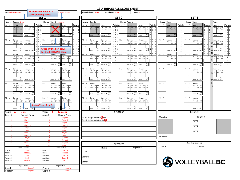| Date: February 1, 2017 |                                                                      | <b>Enter team names into</b>             |                                   | <b>Sports Centre</b>                                             |                  | Scheduled Time: 14:00                                                         |                          | Actual Time: 14:10  |                 |                                                          | Court: 1                                |                   |                  |                                 |                     |                |                                             |                                   |                                             |                  |
|------------------------|----------------------------------------------------------------------|------------------------------------------|-----------------------------------|------------------------------------------------------------------|------------------|-------------------------------------------------------------------------------|--------------------------|---------------------|-----------------|----------------------------------------------------------|-----------------------------------------|-------------------|------------------|---------------------------------|---------------------|----------------|---------------------------------------------|-----------------------------------|---------------------------------------------|------------------|
|                        |                                                                      | corresponding boxes.<br>SET <sub>1</sub> |                                   |                                                                  | SET <sub>2</sub> |                                                                               |                          |                     |                 |                                                          |                                         |                   |                  |                                 |                     |                | SET <sub>3</sub>                            |                                   |                                             |                  |
|                        |                                                                      |                                          |                                   |                                                                  |                  |                                                                               |                          |                     |                 |                                                          |                                         |                   |                  |                                 |                     |                |                                             |                                   |                                             |                  |
|                        | Line up Team A: Lions                                                | <b>Points</b>                            | Line up<br>P1:                    | Team B: Canucks<br>Points                                        | Line up<br>P1: / | Team B:                                                                       |                          | Points P1:          |                 | Line up Team A:                                          |                                         | <b>Points</b>     | Line up          | Team :                          | <b>Points</b>       | Line up<br>P1: | Team :                                      | <b>Points</b>                     | Team :                                      | <b>Points</b>    |
| P1: /                  | Server:<br>$\overline{A}$<br>$\Delta$<br>Tos<br>Tos                  | Server:<br>Tos<br>$\mathbf{1}$           | Server:<br>Tos                    | Server:<br>os<br>$\overline{1}$<br>$\overline{B}$<br>Tos<br>To:  |                  | Server:<br>B<br>Tos                                                           | Server:<br>B Tos         | $1\vert1$           |                 | Server:<br>Tos                                           | Server:<br>$\overline{A}$<br>Toe        | $1 \mid 1 \mid 2$ | P1: /            | Server:<br>1st                  | $\mathbf{1}$        |                | Server:<br>Serv 1st<br>2 <sub>nd</sub>      | $1 \overline{1}$ $1 \overline{2}$ | Server:<br>Serv 1st<br>2nd                  | $1\vert 1$       |
|                        | $\frac{1}{2}$<br>s to<br>Serv                                        | $\overline{\phantom{a}}$                 | erv <sup>1</sup>                  | sto<br>$2 \overline{3}$                                          |                  |                                                                               | Serv<br>s to             | 2 <sub>13</sub>     |                 | sto                                                      |                                         | $2^{13}$          |                  | 2nd<br>Tos<br>Tos               | $\overline{2}$      |                | Tos<br>Tos                                  | $\overline{3}$                    |                                             | $2 \overline{3}$ |
|                        |                                                                      | $3 \mid 1$                               |                                   | $1\vert 2$                                                       |                  |                                                                               |                          | 3 1                 |                 |                                                          |                                         |                   |                  |                                 | $\overline{3}$      |                |                                             |                                   |                                             | 3                |
|                        | Sco<br>Score :<br>$\overline{r}$                                     | Scc<br>. .<br>Score                      |                                   | Sco<br>Sco<br>$\Delta$<br>Score :<br>$r_{\Omega}$                |                  | Soc<br>Score :                                                                | Sco<br>Score :           | $\overline{4}$      |                 | Sco<br>Score :<br>ra                                     | Sco<br>$Score$ :<br>$\sim$              |                   |                  | Sco<br>Score :<br>ra.           | $\overline{4}$<br>5 |                | Sco<br>Score :                              |                                   | Sco<br>core :                               |                  |
| P2:                    | Server:                                                              | $5 \mid 5 \mid$<br>Server:               | P2:<br>Serve <sup>l</sup>         | $\overline{5}$<br>Server:                                        | P2:              | Server:                                                                       | Server:                  | 6                   | P2:             | Server:                                                  | Server:                                 |                   | P <sub>2</sub> : | Server:                         | 6                   | P2:            | Server:                                     |                                   | Server:                                     |                  |
|                        | $\overline{A}$<br>Tos<br>$\mathsf{A}$<br>Tos                         | Tos<br>'os                               | B                                 | Tos<br>$\overline{B}$<br>Tos<br>Tos                              |                  | B<br>Tos                                                                      | B Tos<br>Tos             | 7 <sup>7</sup>      |                 | Tos<br>Tos<br>A                                          | A<br>Tos<br>os.                         |                   |                  | Serv<br>1st<br>2nc              | $\overline{7}$      |                | Serv 1st<br>2nd                             |                                   | Serv 1st<br>2nd                             |                  |
|                        |                                                                      |                                          |                                   |                                                                  |                  |                                                                               | s to                     |                     |                 |                                                          |                                         |                   |                  | Tos<br>To:                      | 8                   | $\overline{1}$ | Tos<br>Tos                                  |                                   | Tos                                         |                  |
|                        | $\operatorname{Sco}$                                                 | Sor                                      | <b>Cross off the first server</b> | $\overline{7}$                                                   |                  | So                                                                            | Sco                      | 9 1<br>$\mathbf{1}$ |                 | Sco                                                      | $\operatorname{Sco}$                    |                   |                  | Sco                             | 9<br>$\mathbf 1$    |                | Sco                                         |                                   | Sco                                         |                  |
|                        | Score :                                                              | Score :                                  | for the RECEIVING team.           | $\prod_{i=1}^{n}$                                                |                  | Score :                                                                       | Score:                   |                     |                 | Score :                                                  | Score :                                 | 0<br>113          |                  | Score :                         | $\mathsf{O}\xspace$ |                | Score :                                     |                                   | Score:                                      |                  |
| P3: /                  | Server:                                                              | Server:                                  | <b>Derver</b>                     | $\mathbf{H}$ i $ s _2$                                           | P3: /            | Server:                                                                       | Server:                  | 18                  | P3:             | Server:                                                  | Server:                                 | 80                | P3:              | Server:                         |                     | P3: /          | Server:                                     |                                   | Server:                                     |                  |
|                        | Tos<br>s to<br>$\overline{A}$<br>$\mathsf{A}$<br>Tos<br>s to<br>Serv | Tos Tos<br>sto sto<br>$\mathbf{T}$       | B<br>s to                         | Tos<br>$\blacksquare$<br>Tos<br>T<br>sto<br>s to<br>s to<br>Serv |                  | В<br>Tos<br>Sery<br>sto st                                                    | B Tos<br>Serv sto        | T                   |                 | $\mathop{\hbox{\rm Tos}}$<br>$\mathsf{A}$<br>sto<br>s tr | $\overline{A}$<br>Tos<br>$s$ to<br>Serv | $\mathbf{T}$      |                  | Serv 1st<br>e Tos<br>2nd<br>Tos | T                   |                | Serv 1st<br>e Tos<br>2 <sub>nd</sub><br>Tos | $\mathbf{T}$                      | Serv 1st<br>e Tos<br>2 <sub>nd</sub><br>Tos | T                |
|                        |                                                                      | $\pm$                                    |                                   | $\cdot$                                                          |                  |                                                                               |                          | $\cdot$ :           |                 |                                                          |                                         | $\pm$             |                  |                                 | $\pm$               |                |                                             | $\pm$                             |                                             | $\pm$            |
|                        | Sco<br>Score :                                                       | $\pm$<br>Score :                         | Score :                           | Sco<br>Sco<br>Score :                                            |                  | Score :                                                                       | Sco<br>Score :           | $\cdot$             |                 | Sco<br>Score :                                           | Score :                                 | $\cdot$           |                  | Sco<br>Score :                  | ÷                   |                | Sco<br>Score :                              | ÷                                 | Sco<br>Score :                              |                  |
|                        | ro                                                                   |                                          |                                   | $r_{\Omega}$                                                     |                  |                                                                               |                          |                     |                 | ro                                                       |                                         |                   |                  |                                 |                     |                |                                             |                                   |                                             |                  |
| P4:                    | Server:                                                              | Server:                                  | P4:<br>Server:                    | Server:                                                          | P4:              | Server:                                                                       | Server:                  |                     | P4:             | Server:                                                  | Server:                                 |                   | P4:              |                                 |                     | P4: /          | Server:                                     |                                   | Server:                                     |                  |
|                        | A<br>$\mathsf{A}$<br>Tos<br>Tos                                      | Tos                                      | $\overline{B}$<br>Tos             | Tos<br>$\overline{B}$<br>Tos<br>Tos<br>s to                      |                  | $\mathbf{B}$<br>Tos                                                           | B Tos<br>Tos<br>s to     |                     |                 | Tos<br>A<br>Tos                                          | A<br>Tos<br>'os                         |                   |                  |                                 |                     |                | Serv<br>1st<br>Tos<br>2n<br>To:             |                                   | Serv 1st<br>2nd                             |                  |
| $\cdot$                |                                                                      |                                          |                                   |                                                                  |                  |                                                                               |                          |                     |                 |                                                          |                                         |                   |                  |                                 |                     | $\cdot$        |                                             |                                   |                                             |                  |
|                        | Sco<br>Score :                                                       | Scc<br>Score :                           | Score :                           | Sco<br>Scc<br>Score :                                            |                  | So<br>Score :                                                                 | Sco<br>Score:            |                     |                 | $\operatorname{Sco}$<br>Score :                          | Sco<br>Score :                          |                   |                  |                                 |                     |                | Sco<br>Score :                              |                                   | Sco<br>Score:                               |                  |
|                        |                                                                      |                                          |                                   |                                                                  |                  |                                                                               |                          |                     |                 |                                                          |                                         |                   |                  |                                 |                     |                |                                             |                                   |                                             |                  |
| P5:                    | Server:<br>$\overline{A}$<br>Tos<br>Tos<br>A                         | Server:<br>Tos Tos                       | P5:<br>Server:<br>B Tos           | Server:<br>B Tos Tos<br>Tos                                      | <b>S:</b>        | Server:<br>$\overline{B}$<br>Tos                                              | Server:<br>B Tos<br>Tos  |                     | PS:             | Server:<br>$\overline{A}$<br>Tos<br>Tos                  | Server:<br>$\overline{A}$<br>Tos<br>٥s' |                   | P5:              |                                 |                     | P5:            | Server:<br>Serv 1st<br>2 <sub>nd</sub>      |                                   |                                             |                  |
|                        | $\ddot{\phantom{a}}$<br>e tr<br>Serv                                 | e to l                                   |                                   | $\frac{1}{2}$<br>et                                              |                  |                                                                               | s fo<br>Serv             |                     |                 | e te                                                     | Sen                                     |                   |                  |                                 |                     |                | Toe<br>To:                                  |                                   |                                             |                  |
|                        |                                                                      |                                          |                                   |                                                                  |                  |                                                                               |                          |                     |                 |                                                          |                                         |                   |                  |                                 |                     |                |                                             |                                   |                                             |                  |
|                        | Sco<br>Score :                                                       | Score :                                  | Score :                           | Sco<br>Scc<br>Score :<br>re                                      |                  | So:<br>Score :                                                                | Sco<br>Score:            |                     |                 | Sco<br>Score :<br>$r_{\Omega}$                           | $S\alpha$<br>Score :                    |                   |                  |                                 |                     |                | Sco<br>Score :                              |                                   |                                             |                  |
| P6: /                  | Server:                                                              | Server:                                  | P6: /<br>Server:                  | Server:                                                          | P6: /            | Server:                                                                       | Server:                  |                     | P6: /           | Server:                                                  | Server:                                 |                   | P6: /            |                                 |                     | P6: /          | Server:                                     |                                   |                                             |                  |
|                        | A<br>Tos<br>s to<br>$\mathsf{A}$<br>Tos                              | Tos Tos                                  | B Tos                             | $\mathbf{B}$<br>Tos<br>Гos<br>Tos                                |                  | $\mathbf{B}$<br><b>Tos</b>                                                    | B Tos<br>Serv sto<br>Tos |                     |                 | Tos<br>A<br>Tos                                          | $\overline{A}$<br>Tos                   |                   |                  |                                 |                     |                | Serv 1st<br>2n                              |                                   |                                             |                  |
|                        | s to<br>Ser                                                          |                                          |                                   | s to<br>$_{\rm ent}$<br>s to                                     |                  |                                                                               |                          |                     |                 | s to                                                     |                                         |                   |                  |                                 |                     |                | Tos<br>To:                                  |                                   |                                             |                  |
|                        | Sco                                                                  |                                          | <b>Assign Team A or B.</b>        | Sco<br>Sco                                                       |                  | Scc                                                                           | Sco                      |                     |                 | Sco                                                      | Sco                                     |                   |                  |                                 |                     |                | Sco                                         |                                   |                                             |                  |
|                        | $score: re =$                                                        | $Score: re=$                             | Score :                           | Sco <sub>re</sub><br>$r_{\theta}$ =<br>ra.                       |                  | Score :<br>$\mathsf{r}_\mathsf{P}$                                            | Score :<br>re:           |                     |                 | Score :<br>$\mathbf{r} \mathbf{e}$                       | Score : re=                             |                   |                  |                                 |                     |                | $\cdot$<br>enns <sup>2</sup><br>ra.         |                                   |                                             |                  |
| Team                   | <b>Lions</b><br>A                                                    |                                          | Team<br>в                         | <b>Canucks</b>                                                   |                  |                                                                               |                          |                     | REMARKS         |                                                          |                                         |                   |                  |                                 |                     |                | <b>RESULTS</b>                              |                                   |                                             |                  |
| Jersey#                |                                                                      | Name of Player                           | Jersey#                           | Name of Player                                                   |                  |                                                                               |                          |                     |                 |                                                          |                                         |                   |                  |                                 |                     |                |                                             |                                   |                                             |                  |
|                        |                                                                      | Player A<br>Player B                     |                                   | Player A<br>Player B                                             |                  | Team A Designated Setter <sup>2</sup> or 3<br>Team B Designated Setter: 2 o 3 |                          |                     |                 |                                                          |                                         |                   | TEAM A:          |                                 |                     |                | TEAM B:                                     |                                   |                                             |                  |
|                        |                                                                      | Player C                                 |                                   | Player C                                                         |                  |                                                                               |                          |                     |                 |                                                          |                                         |                   |                  |                                 |                     |                | SET <sub>1</sub>                            |                                   |                                             |                  |
|                        |                                                                      | Player D                                 |                                   | <b>Player D</b>                                                  |                  |                                                                               |                          |                     |                 |                                                          |                                         |                   |                  |                                 |                     |                | SET <sub>2</sub>                            |                                   |                                             |                  |
|                        |                                                                      | Player E                                 |                                   | <b>Player</b> E                                                  |                  |                                                                               |                          |                     |                 |                                                          |                                         |                   |                  |                                 |                     |                |                                             |                                   |                                             |                  |
|                        |                                                                      | Player F<br>Player G                     |                                   | <b>Player F</b><br>Player G                                      |                  |                                                                               |                          |                     |                 |                                                          |                                         |                   |                  |                                 |                     |                | SET <sub>3</sub>                            |                                   |                                             |                  |
|                        |                                                                      | Player H                                 |                                   | Player H                                                         |                  |                                                                               |                          |                     |                 |                                                          |                                         |                   |                  |                                 |                     |                |                                             |                                   |                                             |                  |
|                        |                                                                      | Player I                                 |                                   | Player1                                                          |                  |                                                                               |                          |                     |                 |                                                          |                                         |                   | WINNER:          |                                 |                     |                |                                             |                                   |                                             |                  |
| 10                     |                                                                      | Player J                                 | 10                                | Player J                                                         |                  |                                                                               |                          |                     |                 |                                                          |                                         |                   |                  |                                 |                     |                |                                             |                                   |                                             |                  |
| 11<br>12               |                                                                      | <b>Player K</b>                          | 11                                | <b>Player K</b>                                                  |                  |                                                                               |                          |                     | <b>REFEREES</b> |                                                          |                                         |                   |                  |                                 |                     |                | Coach Signatures                            |                                   |                                             |                  |
|                        | <b>Team Leaders</b>                                                  | Player L                                 | 12                                | <b>Player L</b><br><b>Team Leaders</b>                           |                  |                                                                               | Names                    |                     |                 |                                                          | Signatures                              |                   | Coach A          |                                 |                     |                | Coach B                                     |                                   |                                             |                  |
| Coach                  |                                                                      | Coach A                                  | Coach                             | Coach A                                                          |                  |                                                                               |                          |                     |                 |                                                          |                                         |                   |                  |                                 |                     |                |                                             |                                   |                                             |                  |
| NCCP#                  |                                                                      | #111111                                  | NCCP#                             | #111111                                                          | 1st              |                                                                               |                          |                     |                 |                                                          |                                         |                   |                  |                                 |                     |                |                                             |                                   |                                             |                  |
| Assistan               |                                                                      | Coach B                                  | Assistant                         | Coach B                                                          | Scorer 1         |                                                                               |                          |                     |                 |                                                          |                                         |                   |                  |                                 |                     |                |                                             |                                   |                                             |                  |
| Assistant              |                                                                      | Coach C                                  | Assistant                         | Coach C                                                          |                  |                                                                               |                          |                     |                 |                                                          |                                         |                   |                  |                                 |                     |                |                                             |                                   |                                             |                  |
| Assistant              | Coach D<br>Assistant<br>Coach D                                      |                                          |                                   |                                                                  | Scorer 2         |                                                                               |                          |                     |                 |                                                          |                                         |                   |                  |                                 |                     |                | <b>SA VOLLEYBALLBC</b>                      |                                   |                                             |                  |
|                        | Signatures<br>Signatures                                             |                                          |                                   |                                                                  |                  |                                                                               |                          |                     |                 |                                                          |                                         |                   |                  |                                 |                     |                |                                             |                                   |                                             |                  |
| Coach                  | Coach A<br>Coach<br>Coach A                                          |                                          |                                   |                                                                  |                  |                                                                               |                          |                     |                 |                                                          |                                         |                   |                  |                                 |                     |                |                                             |                                   |                                             |                  |
| Captain                |                                                                      | Player A                                 | Captain                           | Player /                                                         |                  |                                                                               |                          |                     |                 |                                                          |                                         |                   |                  |                                 |                     |                |                                             |                                   |                                             |                  |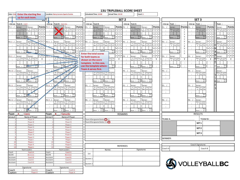| Date: Febr Enter the starting line                                            | <b>Location: Harry Jerome Sports Centre</b>                             | Actual Time: 14:10<br>Court: 1<br>Scheduled Time: 14:00                                                                                                                        |                                                                                                                                                          |  |  |  |  |  |
|-------------------------------------------------------------------------------|-------------------------------------------------------------------------|--------------------------------------------------------------------------------------------------------------------------------------------------------------------------------|----------------------------------------------------------------------------------------------------------------------------------------------------------|--|--|--|--|--|
| up for each team.                                                             | <u>न्नो</u> न 1                                                         | SET <sub>2</sub>                                                                                                                                                               | SET <sub>3</sub>                                                                                                                                         |  |  |  |  |  |
| Line up Team A: Lions                                                         | Line up<br>Team B: Canucks                                              | Line up<br>Team A:<br>Line up<br>Team B:                                                                                                                                       | Line up<br>Team :<br>Line up Team :<br>Team :                                                                                                            |  |  |  |  |  |
| Points<br>P1:1<br>Server:<br>Server:                                          | Points<br>P1:4<br>Server:<br>erver:                                     | <b>Points</b><br>P1:<br>Points<br>P1:<br>Server:<br>Server:<br>Server:<br>Server:                                                                                              | <b>Points</b><br>Points<br>Points<br>P1:<br>Server:<br>P1:<br>Server:<br>Server:                                                                         |  |  |  |  |  |
| A<br>$1 \mid 1 \mid 2$<br>A<br>Tos<br>Tos<br>Tos<br>Tos                       | <b>LOS</b><br><b>os</b><br>$1 \mid 1 \mid 2$<br>Tos                     | B Tos<br>$1\vert 1$<br>A<br>$\mathsf A$<br>Tos<br>Tos<br>Tos<br>Tos<br>Tos<br>$1 \mid 1 \mid 2$                                                                                | Serv<br>$1 \quad 1 \quad 2$<br>Serv<br>Serv<br>1st<br>1st<br>1st<br>2nd<br>$\mathbf{1}$<br>$1 \mid 1 \mid 2$                                             |  |  |  |  |  |
| <b>Serv</b><br>$s$ to<br>sto<br>Sorv<br>$\mathbf{f}$<br>the<br>$\overline{2}$ | $s$ to<br>Serv <sup>1</sup><br>Sen<br>e to<br>$2 \overline{3}$ 5        | $s$ to<br>nt a<br>$\sin$<br>Sen<br><b>Serv</b><br>s to<br>s to<br>$2 \overline{3}$<br>$\overline{2}$<br>зI.                                                                    | Toe<br>Tos<br>Tos<br>Tos<br>$\alpha$<br>$\sim$<br>Tos<br>Tos<br>$2 \overline{3}$<br>$\overline{2}$<br>$\overline{2}$<br>3 <sub>5</sub>                   |  |  |  |  |  |
| $\cdot$                                                                       | 312                                                                     | $\cdot$<br>$3 \mid 1$<br>$\cdot$<br>$\overline{\mathbf{3}}$                                                                                                                    | $\sim$<br>3 1<br>$\overline{\mathbf{3}}$<br>$1\vert 2$<br>$\overline{\mathbf{3}}$                                                                        |  |  |  |  |  |
| Sco<br>Sco<br>Score:<br>Score :<br>$re =$                                     | Sco<br>Sco<br>Score :<br>Score :                                        | Sco<br>Sco<br>Sco<br>$\overline{4}$<br>Sci<br> 4<br>Score :<br>Score :<br>Score :<br>Score :<br>ra:<br>$ra =$                                                                  | Sco<br>Score : Sco<br>= <sub>re</sub><br>$\overline{4}$<br>Sco<br>$\overline{4}$<br>Score :<br>Score :<br>$re =$                                         |  |  |  |  |  |
|                                                                               | 112<br>157                                                              | $5 \mid 1$<br>5<br>$6 \mid 5$<br>$\,$ 6 $\,$<br>517                                                                                                                            | 5<br>5<br>6<br>6<br>6                                                                                                                                    |  |  |  |  |  |
| P2:2<br>Server<br>Server<br>A Tos<br>Tos<br>Tos<br>Tos                        | P2:5<br>Server<br>Server:<br>B   Tos<br>712<br>B Tos<br>Tos             | P2:<br>P2:<br>Server:<br>Server:<br>Server:<br>Server:<br>7 <sup>1</sup><br>$\overline{z}$<br>B Tos<br>A Tos<br>$1\overline{1}$<br><b>B</b> I<br>Tos<br>Α<br>Tos<br>Tos<br>Tos | P2:<br>P2: /<br>Server:<br>Server:<br>Server:<br>$\overline{7}$<br>$7\overline{ }$<br>Serv<br>1st<br>1st<br>1st<br>2 <sub>nd</sub>                       |  |  |  |  |  |
| Serv<br>the                                                                   | Sen                                                                     | Son<br>8 6                                                                                                                                                                     | Serv<br>م<br>Tos<br>8                                                                                                                                    |  |  |  |  |  |
|                                                                               |                                                                         | $9 \mid 1$<br>9                                                                                                                                                                | 9<br>q<br>9                                                                                                                                              |  |  |  |  |  |
| Sco<br>Sco<br>Score :<br>Score :                                              | Sco<br>Sco<br>Score:<br>$Score$ :                                       | $1 \overline{7}$<br>Sco<br>Sco<br>1<br>Sco<br>$\cdot$<br>Score:<br>Score :<br>$0 \mid 1$<br>$\mathbf 0$                                                                        | $\vert$ 1<br>$\mathbf{1}$<br>Sco<br>$\operatorname{\mathsf{Sco}}$<br>Sco<br>Score :<br>Score:<br>Score:<br><b>TA</b><br>$\mathsf 0$<br>$\mathbf 0$<br>٥I |  |  |  |  |  |
| P3:3<br>Server:                                                               | 180P3:67                                                                | <b>Enter the total scores</b><br>$1 \vert 8$<br>8 <sup>1</sup><br>P3:                                                                                                          | 1 8<br>3: /<br>P3:<br>Server:<br>Server:<br>Server:                                                                                                      |  |  |  |  |  |
| Server:<br>Tos Tos<br>A Tos<br>Tos<br>s to<br>A<br>T                          | Server:<br>Tos Tos<br><b>B</b><br>Tos                                   | Server:<br>Server:<br>for both teams as<br>Tos Tos<br>A<br>A<br>Serv<br>Tos<br>$\frac{1}{s}$ to<br>Tos<br>Tns<br>$\mathsf T$<br>T                                              | Serv<br>e<br>1st 2nd<br>Tos Tos<br>Serv<br>e<br>1st<br>Serv<br>1st<br>Tos<br>2 <sub>nd</sub><br>$2n$ c<br>$\mathbf{T}$<br>$\mathbf{T}$<br>$\mathbf{T}$   |  |  |  |  |  |
| Serv<br>sto<br>Serv<br>s to                                                   | Serv sto sto<br>Serv<br>s to                                            | shown on the score<br>Serv<br>s to<br>stc                                                                                                                                      | Tos<br>Tos                                                                                                                                               |  |  |  |  |  |
| $\pm$<br>Sco                                                                  | Sco                                                                     | $\mathbb{C}^{\times}$<br>$\mathcal{I}$<br>template. In this case,<br>Sco                                                                                                       | $\pm$<br>$\pm$<br>$\mathcal{L}$                                                                                                                          |  |  |  |  |  |
| $\sim$<br>Score :<br>Score:                                                   | Sco<br>Score                                                            | $\frac{Sco}{re}$<br>Sco<br>use the template where<br>$\pm$<br>$\pm$<br>Score:<br>Score :                                                                                       | Sco<br>Sco<br>Sco<br>$\pm$<br>$\pm$<br>$\pm$<br>Score :<br>Score :<br>Score:<br>ro                                                                       |  |  |  |  |  |
| P4:10<br>Server:<br>Server:                                                   | P4: 7<br>erver:                                                         | <b>Team A serves first.</b><br>P4:<br>Server:<br>Server:                                                                                                                       | P4: /<br>P4: /<br>Server:<br>Server:                                                                                                                     |  |  |  |  |  |
| A Tos<br>Tos<br>A<br>Tos<br>20T                                               | <b>B</b><br>Tos<br>B<br>Tos                                             | Tos<br>в.<br>A Tos Tos<br>Serv sto sto<br>B Tos<br>Tos Tos<br>$\mathsf{A}$<br>Tos<br>Tos                                                                                       | Serv 1st<br>e Tos<br>Serv<br>e<br>1st<br>2 <sub>nd</sub>                                                                                                 |  |  |  |  |  |
| et<br>Serv<br>s to<br>s ta                                                    | Sen                                                                     | Serv<br>$\cdots$<br>$\frac{1}{2}$<br>Serv<br>Sen<br>e ti                                                                                                                       | To:<br>To.                                                                                                                                               |  |  |  |  |  |
| Sco<br>Sco                                                                    | Sco                                                                     | Sco<br>Sco<br>Sco<br>Sco                                                                                                                                                       | Scr<br>Sco                                                                                                                                               |  |  |  |  |  |
| Score:<br>Score :<br>ro-<br>ra                                                | $\blacksquare$<br>core<br>Score                                         | Score :<br>Score :<br>Score :<br>Score<br>٠.                                                                                                                                   | Score<br>Score :<br>ro                                                                                                                                   |  |  |  |  |  |
| P5:11<br>Server:<br>Server:                                                   | P5:8<br>Server:<br>.ver                                                 | P5: /<br>Server:<br>Server:<br>Server:<br>Server:                                                                                                                              | $-5:$<br>P5:<br>Server:                                                                                                                                  |  |  |  |  |  |
| $\overline{A}$<br>Tos<br>Tos<br>A Tos<br>Tos                                  | B<br>Tos<br>Tos<br><b>B</b><br>Tos<br>Ser                               | B Tos<br>A Tos<br>B<br>Tos<br>Tos<br>$\overline{A}$<br>Tos<br>Tos<br>Tos<br><b>Tos</b><br><b>Ser</b><br>Serv<br>s to<br>s to<br>Sery                                           | Serv<br>1st<br>$\sim$                                                                                                                                    |  |  |  |  |  |
|                                                                               |                                                                         | $\cdot$                                                                                                                                                                        | $\pm$                                                                                                                                                    |  |  |  |  |  |
| $\operatorname{Sco}$<br>Sco                                                   | Sco<br>Sco                                                              | $\operatorname{\mathsf{Sco}}$<br>$\operatorname{\mathsf{Sco}}$<br>Sco<br>Sco                                                                                                   | Scr                                                                                                                                                      |  |  |  |  |  |
| $Score$ :<br>Score :                                                          | Score:<br>$\cdot$<br>Score                                              | Score:<br>Score :<br>Score :<br>Score<br>$\cdot$                                                                                                                               | Score:                                                                                                                                                   |  |  |  |  |  |
| P6:12<br>Server<br>Server                                                     | P6:9 /<br>Server:<br>Server:                                            | P6: /<br>P6: /<br>Server:<br>Server<br>Server:<br>Server:                                                                                                                      | P6: /<br>P6: /<br>Server:                                                                                                                                |  |  |  |  |  |
| A Tos<br>A Tos<br>Serv sto<br>Serv                                            | B Tos Tos<br>Serv sto sto<br>B Tos<br>Serv<br>s to                      | B Tos<br>A Tos Tos<br>A Tos<br>B Tos<br>To:<br>To:<br>s to<br>Serv l<br>sto<br>s to<br>Serv sto<br>Serv sto sto<br>Serv<br>s to                                                | Serv<br>1st<br>Tos To                                                                                                                                    |  |  |  |  |  |
|                                                                               |                                                                         |                                                                                                                                                                                | $\sim$                                                                                                                                                   |  |  |  |  |  |
| $\operatorname{Sco}$<br>Sco<br>Score : $re =$<br><b>I</b> Score<br>re:        | $\operatorname{Sco}$<br>Sco<br>Score : $re =$<br>Score<br>$\cdot$<br>re | Sco<br>Sco<br>Sco<br>$\operatorname{Sco}$<br>Score : $re =$<br>Score re-<br>Score : $re =$<br>Score : $re =$                                                                   | Scr<br>Score : re-                                                                                                                                       |  |  |  |  |  |
|                                                                               | в                                                                       |                                                                                                                                                                                | <b>RESULTS</b>                                                                                                                                           |  |  |  |  |  |
| Team<br>: Lions<br>Jersey#<br>Name of Player                                  | Team<br><b>Canucks</b><br>Jersey#<br>Name of Player                     | REMARKS                                                                                                                                                                        |                                                                                                                                                          |  |  |  |  |  |
| Player A                                                                      | Player A                                                                | Team A Designated Setter <sup>2</sup> r 3                                                                                                                                      | <b>TEAM A:</b><br>TEAM B:                                                                                                                                |  |  |  |  |  |
| Player B                                                                      | Player B                                                                | Team B Designated Setter: 2 o                                                                                                                                                  | SET <sub>1</sub>                                                                                                                                         |  |  |  |  |  |
| Player C                                                                      | Player C                                                                |                                                                                                                                                                                |                                                                                                                                                          |  |  |  |  |  |
| Player D<br>Player E                                                          | Player D<br>Player E                                                    |                                                                                                                                                                                | SET <sub>2</sub>                                                                                                                                         |  |  |  |  |  |
| Player <sub>F</sub>                                                           | Player <sub>F</sub>                                                     |                                                                                                                                                                                |                                                                                                                                                          |  |  |  |  |  |
| Player G                                                                      | Player G                                                                |                                                                                                                                                                                | SET <sub>3</sub>                                                                                                                                         |  |  |  |  |  |
| Player H                                                                      | PlayerH                                                                 |                                                                                                                                                                                | WINNER:                                                                                                                                                  |  |  |  |  |  |
| Player I                                                                      | Player                                                                  |                                                                                                                                                                                |                                                                                                                                                          |  |  |  |  |  |
| 10<br>Player J<br>11<br>Player K                                              | Player J<br>$\mathbf{1}$<br>Player <sub>k</sub>                         |                                                                                                                                                                                | Coach Signatures                                                                                                                                         |  |  |  |  |  |
| 12<br>Player                                                                  | Player                                                                  | <b>REFEREES</b>                                                                                                                                                                |                                                                                                                                                          |  |  |  |  |  |
| Team Leaders                                                                  | Team Leaders                                                            | Signatures<br>Names                                                                                                                                                            | Coach B<br>Coach A                                                                                                                                       |  |  |  |  |  |
| Coach A<br>Coach                                                              | Coach<br>Coach A                                                        | 1st                                                                                                                                                                            |                                                                                                                                                          |  |  |  |  |  |
| NCCP#<br>#111111                                                              | NCCP#<br>#111111                                                        |                                                                                                                                                                                |                                                                                                                                                          |  |  |  |  |  |
| Assistan<br>Coach B<br>Assistant<br>Coach C                                   | Assistan<br>Coach B<br>Assistant<br>Coach C                             | Scorer 1                                                                                                                                                                       |                                                                                                                                                          |  |  |  |  |  |
| Coach D<br>Assistant                                                          | Coach D<br>Assistant                                                    |                                                                                                                                                                                |                                                                                                                                                          |  |  |  |  |  |
|                                                                               |                                                                         | Scorer 2                                                                                                                                                                       | <b>SA VOLLEYBALLBC</b>                                                                                                                                   |  |  |  |  |  |
| Signatures                                                                    | Signatures                                                              |                                                                                                                                                                                |                                                                                                                                                          |  |  |  |  |  |
| Coach<br>Coach A                                                              | Coach<br>Coach A                                                        |                                                                                                                                                                                |                                                                                                                                                          |  |  |  |  |  |
| Captain<br><b>Player A</b>                                                    | Captain<br>Player A                                                     |                                                                                                                                                                                |                                                                                                                                                          |  |  |  |  |  |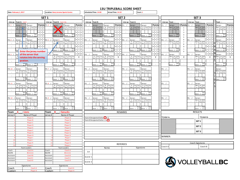|                       | Date: February 1, 2017                                               |                        | <b>Location: Harry Jerome Sports Centre</b>                                                                                                                                                                                                                                                                                                                                                                                                                                                                             | Scheduled Time: 14:00<br>Actual Time: 14:10<br>Court: 1 |                                                                                             |                                                        |                  |         |                                                   |                                   |                                 |           |                                           |                                |                  |                               |                     |                             |              |
|-----------------------|----------------------------------------------------------------------|------------------------|-------------------------------------------------------------------------------------------------------------------------------------------------------------------------------------------------------------------------------------------------------------------------------------------------------------------------------------------------------------------------------------------------------------------------------------------------------------------------------------------------------------------------|---------------------------------------------------------|---------------------------------------------------------------------------------------------|--------------------------------------------------------|------------------|---------|---------------------------------------------------|-----------------------------------|---------------------------------|-----------|-------------------------------------------|--------------------------------|------------------|-------------------------------|---------------------|-----------------------------|--------------|
|                       |                                                                      | SET <sub>1</sub>       |                                                                                                                                                                                                                                                                                                                                                                                                                                                                                                                         |                                                         |                                                                                             |                                                        | SET <sub>2</sub> |         |                                                   |                                   |                                 |           |                                           |                                |                  | SET <sub>3</sub>              |                     |                             |              |
|                       | Line up Team A: Lions                                                |                        | Line up Team B: Canucks                                                                                                                                                                                                                                                                                                                                                                                                                                                                                                 | Line up Team B:                                         |                                                                                             |                                                        |                  | Line up | Team A:                                           |                                   |                                 |           | Line up Team :                            |                                |                  | Line up Team :                |                     | Team :                      |              |
| P1:1 /                | <b>Points</b><br>Server:<br>Server:1                                 | P1:4                   | Points<br>Server:<br>Server:                                                                                                                                                                                                                                                                                                                                                                                                                                                                                            | P1:                                                     | ierver:                                                                                     | Server:                                                | <b>Points</b>    | P1:     | Server:                                           | Server:                           | <b>Points</b>                   | , 1.      | Server:                                   | <b>Points</b>                  | P1:              | Server:                       | <b>Points</b>       | Server:                     | Points       |
|                       | <b>Tos</b> Tos<br>A<br>Tos                                           |                        | Tos<br><b>Yos</b><br>$\mathbf{B}$<br>$1 \quad 1 \quad 2$<br>Tos<br>Tos                                                                                                                                                                                                                                                                                                                                                                                                                                                  |                                                         | в<br>Tos                                                                                    | $\overline{B}$<br>Tos<br>Tos                           | $1 \vert 1$      |         | Tos<br>Tos                                        | $\mathsf{A}$<br>Tos               | $1 \mid 1 \mid 2$               |           | Serv<br>1st<br>2nd<br>Tos                 | $\mathbf{1}$                   |                  | Serv<br>1st<br>2nc            | $1 \quad 1 \quad 2$ | Serv<br>1st                 |              |
|                       | stopsto<br>$\overline{\mathbf{3}}$                                   |                        | Serv <sup>1</sup><br>$\overbrace{\hspace{1cm}}^{\hspace{1cm} \hspace{1cm} \hspace{1cm} \hspace{1cm} \hspace{1cm} \hspace{1cm} \hspace{1cm} \hspace{1cm} \hspace{1cm} \hspace{1cm} \hspace{1cm} \hspace{1cm} \hspace{1cm} \hspace{1cm} \hspace{1cm} \hspace{1cm} \hspace{1cm} \hspace{1cm} \hspace{1cm} \hspace{1cm} \hspace{1cm} \hspace{1cm} \hspace{1cm} \hspace{1cm} \hspace{1cm} \hspace{1cm} \hspace{1cm} \hspace{1cm} \hspace{1cm} \hspace{1cm$<br>Serv<br>$\overline{\phantom{a}}$<br>$\mathbf{H}$<br>$3 \mid 5$ |                                                         | etc                                                                                         | $\ddot{\phantom{0}}$                                   | 13               |         | s to<br>s to                                      | Ser                               |                                 |           | $e$ Tos                                   | $\overline{2}$                 |                  | Toe<br>Tos                    |                     |                             |              |
| $\pm$                 | Soc                                                                  |                        | $\overline{2}$<br>Sco<br>Soc                                                                                                                                                                                                                                                                                                                                                                                                                                                                                            |                                                         |                                                                                             | Scr                                                    |                  |         | $S\alpha$                                         | Sco                               |                                 |           | Soc                                       | $\overline{\mathbf{3}}$        |                  | Sco                           |                     | Sco                         |              |
|                       | Score :<br>Score :<br>ro                                             |                        | Score :<br>Score :<br>ro.<br>$\vert$ <sub>2</sub>                                                                                                                                                                                                                                                                                                                                                                                                                                                                       |                                                         | $\frac{S}{r}$<br>Score :                                                                    | Score:                                                 |                  |         | Score :                                           | Score:                            |                                 |           | Score :                                   | $\overline{4}$<br>$\mathsf{S}$ |                  | Score :                       |                     | Score:<br>$ra -$            |              |
| P2:2 /                | 5 <sup>1</sup><br>Server:<br>Server:                                 | P2:5                   | 517<br>Server:<br>Server:                                                                                                                                                                                                                                                                                                                                                                                                                                                                                               | P2:                                                     | Server                                                                                      | Server:                                                | 15               | P2:     | Server                                            | Server:                           |                                 | P2.       | Server                                    | 6                              | P <sub>2</sub> : | Server                        |                     | Server:                     |              |
|                       | A Tos<br>$\overline{\circ}$ 7 1<br>A Tos Tos<br>Serv<br>e fo         |                        | B Tos<br>$1 \vert 2$<br>B<br>Tos<br>Tos<br>Tos<br>Soni<br>Serv<br>$\mathbf{t}$                                                                                                                                                                                                                                                                                                                                                                                                                                          |                                                         | $\overline{B}$<br>Tos Tos<br>serv                                                           | B Tos<br>Tos                                           | I1               |         | A Tos<br>Serv sto<br>Tos                          | A Tos<br>Serv                     | 1 <sup>2</sup>                  |           | Serv 1st<br>2 <sub>nd</sub><br>Toe<br>ľ٥. | $\overline{7}$                 |                  | Serv 1st<br>2nc<br>Toe<br>To: |                     | Serv 1st<br>2nd             |              |
| $\pm$                 | 6<br>$\mathbf{1}$                                                    |                        | $6 \overline{\smash{\big)}\ 8}$<br>$1\overline{2}$                                                                                                                                                                                                                                                                                                                                                                                                                                                                      |                                                         |                                                                                             |                                                        |                  |         |                                                   |                                   |                                 |           |                                           | 8<br>$\overline{9}$            |                  |                               |                     |                             |              |
|                       |                                                                      |                        | Sco<br>79<br>Sco<br>Score :<br>Score :                                                                                                                                                                                                                                                                                                                                                                                                                                                                                  |                                                         | S <sub>CC</sub><br>Score :                                                                  | Sco<br>Score :                                         |                  |         | Sco<br>Score                                      | Sco<br>Score :                    |                                 |           | Sco<br>Score :                            | $\mathbf 1$                    |                  | Scc<br>Score :                |                     | Sco<br>Score :              |              |
|                       | Sco<br><b>Enter the jersey number</b>                                |                        | re:<br>re:<br>$1 \vert 3$<br>$\Omega$                                                                                                                                                                                                                                                                                                                                                                                                                                                                                   |                                                         | re                                                                                          | ro.                                                    | $\vert$ 1        |         |                                                   | $r \circ$                         | $1 \overline{\smash{\big)}\ 3}$ |           | ra.                                       | $\mathsf{O}\xspace$            |                  | ra                            | 011                 | re:                         |              |
| P3:3 /                | of the server that<br>Ser                                            |                        | 8 <sub>0</sub><br>Server:<br>Server:<br>$\qquad \qquad \blacksquare$<br>Tos Tos<br>Tos<br>Tos                                                                                                                                                                                                                                                                                                                                                                                                                           | P3: /                                                   | Server:                                                                                     | Server:<br>B<br><b>Fos</b>                             | $\bf8$           | P3:     | Server:<br>Tos                                    | Server:<br>A<br>Tos               | 8 <sup>0</sup>                  |           | Server:<br>1st<br>Serv<br>2 <sub>0</sub>  |                                | 23: /            | Server:                       |                     | Server:<br>1st<br>'nd       |              |
| $\pm$                 | rotates into the serving                                             |                        | в<br>T<br>Serv<br>to<br>s t c<br>Serv                                                                                                                                                                                                                                                                                                                                                                                                                                                                                   |                                                         | в<br>Tos Tos<br>Serv<br>e fr                                                                | Tos<br>to:<br>s to                                     | $\mathbf{T}$     |         | Tos<br>s to                                       | Serv                              | T                               |           | To:<br>Tos                                | $\mathsf{T}$                   |                  | Serv 1st<br>e Tos<br>Tos      | T                   | Serv                        | $\mathbf{T}$ |
| $\pm$                 | postion.                                                             |                        | $\pm$                                                                                                                                                                                                                                                                                                                                                                                                                                                                                                                   |                                                         |                                                                                             |                                                        | $\pm$            |         |                                                   |                                   | $\pm$                           |           |                                           | $\pm$                          |                  |                               | $\pm$               |                             | $\pm$        |
|                       | Score : $\frac{500}{10}$<br>Score : $\frac{300}{16}$<br>$\mathbb{C}$ |                        | Sco<br>Sco<br>$\pm$<br>Score :<br>Score :                                                                                                                                                                                                                                                                                                                                                                                                                                                                               |                                                         | Sco<br>Score :                                                                              | Sco<br>Score :                                         | $\pm$            |         | Sco<br>Score :                                    | Sco<br>Score:                     | $\pm$                           |           | Sco<br>Score :                            | $\pm$                          |                  | Sco<br>Score :                | $\pm$               | Sco<br>Score:               | $\pm$        |
| 94:10                 | Server:<br>Server                                                    | P4:7 /                 | Server:<br>Server:                                                                                                                                                                                                                                                                                                                                                                                                                                                                                                      | P4: /                                                   | Server:                                                                                     | Server:                                                |                  | 24:     | Server:                                           | Server:                           |                                 | 4:        |                                           |                                | P4:              | Server:                       |                     | Server                      |              |
|                       | A Tos<br>A Tos<br>ľos                                                |                        | $\mathbf{B}$<br>B Tos<br>Tos<br>Tos<br>Tos                                                                                                                                                                                                                                                                                                                                                                                                                                                                              |                                                         | $\mathbf{B}$<br>Tos                                                                         | B Tos<br>Tos                                           |                  |         | A Tos<br>Tos                                      | A Tos Tos                         |                                 |           |                                           |                                |                  | Serv Ist<br>2n                |                     | Serv 1st<br>2 <sub>nd</sub> |              |
|                       | Serv<br>s to                                                         |                        | Serv<br>s to<br>sto<br>s to<br>Serv                                                                                                                                                                                                                                                                                                                                                                                                                                                                                     |                                                         | Serv<br>s to                                                                                | Serv<br>s to<br>s to                                   |                  |         | s to                                              | Serv<br>sto                       |                                 |           |                                           |                                |                  | Tos<br>Tos                    |                     | e Tos<br>Tos                |              |
| $\mathbb{R}^2$        | Sco<br>Sco                                                           |                        | Sco<br>Sco                                                                                                                                                                                                                                                                                                                                                                                                                                                                                                              |                                                         | Soc                                                                                         | Sco                                                    |                  |         | Sco                                               | Sc                                |                                 |           |                                           |                                |                  | Scc                           |                     | Sco                         |              |
|                       | Score :<br>score:<br>re                                              |                        | Score :<br>Score<br>re.<br>re:                                                                                                                                                                                                                                                                                                                                                                                                                                                                                          |                                                         | Score :<br>re                                                                               | Score :<br>re:                                         |                  |         | core<br>$\cdot$                                   | $\cdot$<br>core                   |                                 |           |                                           |                                |                  | Score :<br>ra.                |                     | Score :                     |              |
| P5:11                 | Server:<br>Server:                                                   | P5:8 /                 | Server:<br>Server:                                                                                                                                                                                                                                                                                                                                                                                                                                                                                                      | <b>P5:</b>                                              | Server:                                                                                     | Server:                                                |                  | P5:     | Server:                                           | Server:                           |                                 | P5: /     |                                           |                                | P5:              | Server:                       |                     |                             |              |
|                       | A Tos Tos<br>$\overline{A}$<br>Tos<br><b>Tos</b><br>Serv             |                        | $\overline{B}$<br>$\overline{B}$<br>Tos<br>Tos<br>Tos Tos<br>Serv<br>s t c<br>Serv                                                                                                                                                                                                                                                                                                                                                                                                                                      |                                                         | B<br>Tos<br>Serv                                                                            | $\overline{\phantom{a}}$<br>Tos<br>Tos<br>s to<br>Serv |                  |         | A Tos<br>Tos<br>s to                              | $\overline{A}$<br>Tos Tos<br>Serv |                                 |           |                                           |                                |                  | Serv Ist<br>2n<br>To:         |                     |                             |              |
| $\pm$                 |                                                                      |                        |                                                                                                                                                                                                                                                                                                                                                                                                                                                                                                                         |                                                         |                                                                                             |                                                        |                  |         |                                                   |                                   |                                 | $\cdot$ : |                                           |                                |                  |                               |                     |                             |              |
|                       | Sco<br>Sco<br>Score :<br>Score :                                     |                        | Sco<br>Soc<br>Score :<br>Score :                                                                                                                                                                                                                                                                                                                                                                                                                                                                                        |                                                         | Soc<br>Score :                                                                              | Sco<br>Score :                                         |                  |         | Sco<br>Score :                                    | Sc<br>Score :                     |                                 |           |                                           |                                |                  | Sco<br>Score :                |                     |                             |              |
|                       |                                                                      |                        |                                                                                                                                                                                                                                                                                                                                                                                                                                                                                                                         |                                                         |                                                                                             |                                                        |                  |         |                                                   |                                   |                                 |           |                                           |                                |                  |                               |                     |                             |              |
| P6:12                 | Server:<br>Server:<br>A Tos<br>A Tos<br>ľos                          | P6:9 /                 | Server:<br>Server<br>$\overline{B}$<br>$\overline{B}$<br>Tos Tos<br>Tos<br>Tos                                                                                                                                                                                                                                                                                                                                                                                                                                          | P6: /                                                   | Server:<br>$\overline{B}$<br>Tos Tos                                                        | Server:<br>$\overline{B}$<br>Tos<br>Tos                |                  | P6: /   | Server:<br>A Tos<br>Tos                           | Server:<br>A Tos                  |                                 | P6: /     |                                           |                                | P6:              | Server:<br>Serv Ist<br>2n     |                     |                             |              |
|                       | Serv<br>s to<br>Serv sto                                             |                        | Serv<br>s to<br>Serv<br>s to                                                                                                                                                                                                                                                                                                                                                                                                                                                                                            |                                                         | Serv<br>sto sto                                                                             | s to<br>Serv<br>s to                                   |                  |         | s to<br>Serv                                      | Serv<br>s to s                    |                                 |           |                                           |                                |                  | Tos<br>Tos                    |                     |                             |              |
| $\sim$                | Sco<br>Soc                                                           |                        | Sco<br>Soc                                                                                                                                                                                                                                                                                                                                                                                                                                                                                                              |                                                         |                                                                                             | Sco                                                    |                  |         |                                                   | Sc                                |                                 |           |                                           |                                |                  | Sco                           |                     |                             |              |
|                       | icore : re≡<br>Score<br>re                                           |                        | Score :<br>$re =$<br>Score :                                                                                                                                                                                                                                                                                                                                                                                                                                                                                            |                                                         | Sco<br>Score : re-                                                                          | Score :<br>re                                          |                  |         | $\operatorname{Sco}$<br>$\sim$<br>Score<br>$re =$ | re                                |                                 |           |                                           |                                |                  | Score                         |                     |                             |              |
| Team                  | <b>Lions</b>                                                         | Team                   | <b>Canucks</b><br>R                                                                                                                                                                                                                                                                                                                                                                                                                                                                                                     |                                                         |                                                                                             |                                                        | <b>REMARKS</b>   |         |                                                   |                                   |                                 |           |                                           |                                |                  | <b>RESULTS</b>                |                     |                             |              |
| Jersey#               | Name of Player                                                       | lersey#                | Name of Player                                                                                                                                                                                                                                                                                                                                                                                                                                                                                                          |                                                         |                                                                                             |                                                        |                  |         |                                                   |                                   |                                 |           |                                           |                                |                  |                               |                     |                             |              |
|                       | Player A<br>Player B                                                 |                        | Player A<br>Player B                                                                                                                                                                                                                                                                                                                                                                                                                                                                                                    |                                                         | Team A Designated Setter <sup>2</sup> or 3<br>Team B Designated Setter: 2 o <mark>(3</mark> |                                                        |                  |         |                                                   |                                   |                                 | TEAM A:   |                                           |                                |                  | TEAM B:                       |                     |                             |              |
|                       | Player C                                                             |                        | <b>Player C</b>                                                                                                                                                                                                                                                                                                                                                                                                                                                                                                         |                                                         |                                                                                             |                                                        |                  |         |                                                   |                                   |                                 |           |                                           |                                |                  | SET <sub>1</sub>              |                     |                             |              |
|                       | <b>Player D</b>                                                      |                        | Player D                                                                                                                                                                                                                                                                                                                                                                                                                                                                                                                |                                                         |                                                                                             |                                                        |                  |         |                                                   |                                   |                                 |           |                                           |                                |                  | SET <sub>2</sub>              |                     |                             |              |
|                       | <b>Player</b> F                                                      |                        | <b>Player</b> E                                                                                                                                                                                                                                                                                                                                                                                                                                                                                                         |                                                         |                                                                                             |                                                        |                  |         |                                                   |                                   |                                 |           |                                           |                                |                  |                               |                     |                             |              |
|                       | Player <sub>F</sub><br><b>Player G</b>                               |                        | Player <sub>F</sub><br>Player G                                                                                                                                                                                                                                                                                                                                                                                                                                                                                         |                                                         |                                                                                             |                                                        |                  |         |                                                   |                                   |                                 |           |                                           |                                |                  | SET <sub>3</sub>              |                     |                             |              |
|                       | Player H                                                             |                        | Player H                                                                                                                                                                                                                                                                                                                                                                                                                                                                                                                |                                                         |                                                                                             |                                                        |                  |         |                                                   |                                   |                                 |           |                                           |                                |                  |                               |                     |                             |              |
|                       | <b>Player I</b>                                                      |                        | Player I                                                                                                                                                                                                                                                                                                                                                                                                                                                                                                                |                                                         |                                                                                             |                                                        |                  |         |                                                   |                                   |                                 | WINNER:   |                                           |                                |                  |                               |                     |                             |              |
| 10<br>11              | Player J                                                             | 10<br>11               | Player J                                                                                                                                                                                                                                                                                                                                                                                                                                                                                                                |                                                         |                                                                                             |                                                        |                  |         |                                                   |                                   |                                 |           |                                           |                                |                  |                               |                     |                             |              |
| 12                    | <b>Player K</b><br>Player L                                          | 12                     | Player K<br>Player L                                                                                                                                                                                                                                                                                                                                                                                                                                                                                                    |                                                         |                                                                                             |                                                        | <b>REFEREES</b>  |         |                                                   |                                   |                                 |           |                                           |                                |                  | Coach Signatures              |                     |                             |              |
|                       | <b>Team Leaders</b>                                                  |                        | <b>Team Leaders</b>                                                                                                                                                                                                                                                                                                                                                                                                                                                                                                     |                                                         |                                                                                             | Names                                                  |                  |         |                                                   | Signatures                        |                                 | Coach A   |                                           |                                |                  | Coach B                       |                     |                             |              |
| Coach                 | Coach A                                                              | Coach                  | Coach A                                                                                                                                                                                                                                                                                                                                                                                                                                                                                                                 | 1st                                                     |                                                                                             |                                                        |                  |         |                                                   |                                   |                                 |           |                                           |                                |                  |                               |                     |                             |              |
| NCCP#                 | #111111                                                              | NCCP#                  | #111111                                                                                                                                                                                                                                                                                                                                                                                                                                                                                                                 |                                                         |                                                                                             |                                                        |                  |         |                                                   |                                   |                                 |           |                                           |                                |                  |                               |                     |                             |              |
| Assistan<br>Assistant | Coach B<br>Coach C                                                   | Assistant<br>Assistant | Coach B<br>Coach C                                                                                                                                                                                                                                                                                                                                                                                                                                                                                                      | Scorer 1                                                |                                                                                             |                                                        |                  |         |                                                   |                                   |                                 |           |                                           |                                |                  |                               |                     |                             |              |
| Assistant             | Coach D                                                              | Assistant              | Coach D                                                                                                                                                                                                                                                                                                                                                                                                                                                                                                                 |                                                         |                                                                                             |                                                        |                  |         |                                                   |                                   |                                 |           |                                           |                                |                  |                               |                     |                             |              |
|                       |                                                                      |                        |                                                                                                                                                                                                                                                                                                                                                                                                                                                                                                                         | Scorer 2                                                |                                                                                             |                                                        |                  |         |                                                   |                                   |                                 |           |                                           |                                |                  |                               |                     | <b>SS</b> VOLLEYBALLBC      |              |
|                       | Signatures                                                           |                        | Signatures                                                                                                                                                                                                                                                                                                                                                                                                                                                                                                              |                                                         |                                                                                             |                                                        |                  |         |                                                   |                                   |                                 |           |                                           |                                |                  |                               |                     |                             |              |
| Coach<br>Captain      | Coach A<br><b>Player</b>                                             | Coach<br>Captain       | Coach A<br>Player A                                                                                                                                                                                                                                                                                                                                                                                                                                                                                                     |                                                         |                                                                                             |                                                        |                  |         |                                                   |                                   |                                 |           |                                           |                                |                  |                               |                     |                             |              |
|                       |                                                                      |                        |                                                                                                                                                                                                                                                                                                                                                                                                                                                                                                                         |                                                         |                                                                                             |                                                        |                  |         |                                                   |                                   |                                 |           |                                           |                                |                  |                               |                     |                             |              |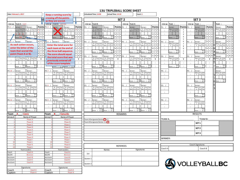| Date: February 1, 2017                                      | Keep a running score by                                                                | Scheduled Time: 14:00<br>Actual Time: 14:10<br>Court: 1                                                                                                  |                                                                                                                                           |
|-------------------------------------------------------------|----------------------------------------------------------------------------------------|----------------------------------------------------------------------------------------------------------------------------------------------------------|-------------------------------------------------------------------------------------------------------------------------------------------|
|                                                             | crossing off the points<br>Ŧ                                                           | SET <sub>2</sub>                                                                                                                                         | SET <sub>3</sub>                                                                                                                          |
| Team A: Lions                                               | as they are scored.<br>Line up Team B:                                                 | Line up<br>Line up<br>Team B:<br>Team A:                                                                                                                 | Line up<br>Line up<br>Team :<br>Team<br>Team                                                                                              |
| Line up<br><b>Points</b><br>P1:1 /<br>Server:1<br>Server:   | Points<br>P1:4<br>erver:<br>Server:                                                    | Points P1: /<br>Points<br>P1: /<br>Server:<br>Server:<br>Server:<br>Server:                                                                              | Points<br>Points<br>Points<br>P1:<br>Server:<br>P1: /<br>Server:<br>Server:                                                               |
| A Tos<br>Tos<br>- 1                                         | B Tos<br>Tos<br>os<br>Tos                                                              | B Tos<br>$\overline{A}$<br>$1\vert1\vert2$<br>B Tos<br>$1\vert 1$<br>A Tos<br><b>os</b><br>os'<br>Tos<br>Tos                                             | Serv 1st<br>e Tos<br>Serv<br>$1 \quad 1 \quad 2$<br>Serv 1st<br>e Tos<br>2nc<br>2nd<br>Tos<br>1st<br>$1 \mid 1 \mid 2$<br>$\overline{1}$  |
| Serv<br>sto<br>$-3$                                         | sto<br>s to<br>Serv <sup>I</sup><br>Serv                                               | s to<br>Serv<br>3 <sup>5</sup>                                                                                                                           | Tos<br>$\overline{2}$<br>$2 \quad 3 \quad 5$<br>$2 \mid 3 \mid 5$                                                                         |
| $3 \mid 1$                                                  |                                                                                        | $\cdot$<br>$1\overline{2}$                                                                                                                               | $3 \mid 1 \mid 2$<br>$\overline{\mathbf{3}}$<br>$1\overline{2}$<br>$\overline{\mathbf{3}}$                                                |
| Soc<br>$_{\text{pre}}$ 2 1                                  | Sco<br>S <sub>0</sub><br>Score :<br>core :<br>re-                                      | Sco<br>Scc<br>Sco<br>Sco<br>Score:<br>Score :<br>Score :<br>Score :<br>$1\vert 2$                                                                        | Sco<br>Sco<br>Scc<br>$\overline{4}$<br>$\overline{4}$<br>Score :<br>Score $re =$<br>Score:<br>5                                           |
| $\overline{5}$<br>Server                                    | $7$ $P2:5$<br>Server:5<br>Server:                                                      | P2: /<br>P2: /<br>5 7<br>Server:<br>Server:<br>Server<br>Server:                                                                                         | 6<br>6<br>6<br>P2: /<br>P2: /<br>Server:<br>Server:<br>Server:                                                                            |
| $\mathbf{1}$<br>As each action occurs,                      | <b>Enter the total score for</b>                                                       | $\overline{B}$<br>A<br>$1 \overline{\phantom{a}}$<br>B<br>Tos<br>Tos<br>'os<br>Tos                                                                       | $\overline{7}$<br>$\overline{7}$<br>Íst<br>Serv<br>1st<br>Serv<br>1st<br>2 <sub>nc</sub>                                                  |
| enter the letter of the                                     | each team at the end of                                                                | 58                                                                                                                                                       | Tos<br>8                                                                                                                                  |
| $\frac{1}{2}$<br>team that scored the<br>$1 \overline{7}$   |                                                                                        | $\vert$ <sub>2</sub><br>79<br>Sco<br>Sco<br>Sco<br>Sco                                                                                                   | 9<br>$\mathbf 1$<br>Sco<br>$\mathbf{1}$<br>Sco<br>Sco                                                                                     |
| $0\vert 1$<br>point (Team A or B).                          | the three ball sequence.<br>$2^{\dagger}1$                                             | Score :<br>Score :<br>Score:<br>Score:<br>$1 \vert 3$                                                                                                    | Score:<br>Score :<br>Score:<br>$r \alpha$<br>$\mathbf 0$<br>$\mathbf{0}$<br>0                                                             |
| $\begin{array}{ c c } \hline \end{array}$                   | The score should equal<br>$1 \vert 8 \vert 0$<br>the total score that was              | 80<br>P3:<br>P3:<br>Server:<br>Server:<br>Server<br>Server:                                                                                              | $1 \vert 8$<br>8 <sup>0</sup><br>$\mathbf{1}$<br>3: /<br>Server:<br>Server:<br>Server:<br>P3:                                             |
| Tos Tos<br>sto sto<br>A<br>Tos <sup>1</sup><br>T<br>Sery    | $\mathbf{T}$                                                                           | $\overline{B}$<br>$\overline{A}$<br>в<br>Tos<br>"os<br>Tos<br>A<br>Serv<br>Tos<br>sto<br>os.<br>Tos<br>To:<br>Tos<br>$\mathbf T$<br>$\mathbf{T}$<br>Serv | Serv<br>e<br>Serv<br>e<br>1st<br>Tos<br>2n<br>1st<br>Serv<br>1st<br>Tos<br>$\mathbf T$<br>2nc<br>$\mathbf T$<br>$\mathbf T$<br>Tos<br>Tos |
| $\sim$                                                      | previously entered off<br>$\pm$                                                        | $\ddot{\phantom{a}}$ :<br>$\cdot$ :                                                                                                                      | $\pm$<br>$\pm$<br>$\pm$                                                                                                                   |
| Sco<br><sub>Sc</sub><br>$\pm$                               | of the score template.<br>$\pm$                                                        | Sco<br>Sco<br>Sco<br>Sco<br>$\pm$<br>$\pm$                                                                                                               | $\frac{Sco}{re}$<br>Sco<br>Scr<br>$\pm$<br>$\pm$<br>$\pm$                                                                                 |
| Score :<br>Score :                                          | Score $re =$ Score $re =$                                                              | Score:<br>Score :<br>Score:<br>Score:<br>$\overline{r}$<br>ro                                                                                            | Score :<br>Score :<br>Score :<br>ro-                                                                                                      |
| P4:10<br>Server:<br>Server:                                 | P4: 7<br>Server:<br>Server:                                                            | P4: /<br>P4:<br>Server:<br>Server:<br>Server:<br>Server:                                                                                                 | 94: /<br>P4: /<br>Server:<br>Server:                                                                                                      |
| $\overline{A}$<br>Tos<br>$\mathsf{A}$<br>Tos<br>sto<br>Serv | B Tos<br>B Tos<br>Tos<br>Tos<br>s to<br>$\ddot{\phantom{a}}$<br>Serv<br>e <sub>1</sub> | B Tos<br>$\overline{B}$<br>A<br>A Tos<br>Tos<br>s to<br>Tos<br>'ns<br>Tos<br>To:<br>etn<br>Serv<br>e to<br>Sory<br>et<br>Serv<br>$\mathbf{t}$            | 1st<br>$\frac{Serv}{a}$<br>1st<br>Serv<br>2n<br>Tos<br>$T_{01}$                                                                           |
|                                                             |                                                                                        |                                                                                                                                                          | $\pm$                                                                                                                                     |
| Scc<br>So.<br>Score :<br>Score :                            | Sco<br>Scc<br>Score :<br>Score:                                                        | Sco<br>Sco<br>Sco<br>Sco<br>Score:<br>Score:<br>Score :<br>Score :                                                                                       | Sco<br>So<br>$Score$ :<br>Score :                                                                                                         |
|                                                             | $r \circ$                                                                              | ro<br>ro                                                                                                                                                 | $r \circ$                                                                                                                                 |
| P5:11<br>Server:<br>Server:                                 | P5:8<br>Server:<br>Server:                                                             | P5:<br>P5:<br>Server:<br>Server:<br>Server:<br>Server:                                                                                                   | P5: /<br>5:<br>Server:                                                                                                                    |
| A<br>A<br>Tos<br>Tos<br>Serv                                | B Tos<br>B Tos<br>Tos<br>Tos<br>e fr                                                   | B Tos<br>A<br>B<br>Tos<br>Tos<br>A Tos<br>Tos<br>Tos<br>"os<br>20T<br>Serv                                                                               | Serv<br>1st                                                                                                                               |
| $\cdot$                                                     |                                                                                        |                                                                                                                                                          | $\pm$                                                                                                                                     |
| Sco<br>Score :<br>Score:                                    | Sco<br>Sot<br>Score :<br>Score :                                                       | Sco<br>Sc<br>Score :<br>Score :<br>Score:<br>Score :                                                                                                     | Score :                                                                                                                                   |
|                                                             |                                                                                        |                                                                                                                                                          |                                                                                                                                           |
| P6:12<br>Server:<br>Server<br>A Tos                         | P6:9 /<br>Server<br>Server:<br>B Tos Tos                                               | P6: /<br>P6: /<br>Server:<br>Server:<br>Server:<br>Server<br>B Tos<br>A                                                                                  | P6: /<br>P6: /<br>Server                                                                                                                  |
| A Tos Tos<br>Serv sto sto<br>Serv sto                       | B Tos Tos<br>Serv sto sto<br>s to<br>s to                                              | A Tos Tos<br>Serv sto sto<br>В<br>Tos<br>Tos<br>s to<br>Serv<br>s to<br>Serv<br>s to<br>s ta                                                             | Serv 1st<br>e Tos                                                                                                                         |
|                                                             |                                                                                        |                                                                                                                                                          | $\sim$                                                                                                                                    |
| Sco<br>Sco<br>Score : $re =$<br>Score<br>re.                | Sco<br>Sco<br>Score $re =$<br>Score<br>$re =$                                          | Sco<br>Sco<br>$\operatorname{Sco}$<br>$\operatorname{\mathsf{Sco}}$<br>Score $re =$<br>Score : re-<br>Score : $re =$<br>Score : $re =$                   | Scr<br>Score : re-                                                                                                                        |
| : Lions<br>Team                                             | <b>Team</b><br><b>Canucks</b><br>в                                                     | <b>REMARKS</b>                                                                                                                                           | <b>RESULTS</b>                                                                                                                            |
| Jersey#<br>Name of Player                                   | Name of Player<br>Jersey#                                                              |                                                                                                                                                          |                                                                                                                                           |
| Player A                                                    | Player A                                                                               | Team A Designated Setter <sup>2</sup> or 3                                                                                                               | TEAM A:<br>TEAM B:                                                                                                                        |
| Player B                                                    | <b>Player B</b>                                                                        | Team B Designated Setter: 2 o <sup>3</sup>                                                                                                               | SET <sub>1</sub>                                                                                                                          |
| Player C<br><b>Player D</b>                                 | Player C<br>Player D                                                                   |                                                                                                                                                          |                                                                                                                                           |
| <b>Player E</b>                                             | <b>Player</b> E                                                                        |                                                                                                                                                          | SET <sub>2</sub>                                                                                                                          |
| Player <sub>F</sub>                                         | Player <sub>F</sub>                                                                    |                                                                                                                                                          | SET <sub>3</sub>                                                                                                                          |
| Player G                                                    | Player G                                                                               |                                                                                                                                                          |                                                                                                                                           |
| Player H                                                    | <b>Player</b> H                                                                        |                                                                                                                                                          | WINNER:                                                                                                                                   |
| Player1<br>10<br>Player J                                   | Player I<br>10<br>Player J                                                             |                                                                                                                                                          |                                                                                                                                           |
| Player <sub>K</sub>                                         | $\mathbf{1}$<br>Player K                                                               |                                                                                                                                                          | Coach Signatures                                                                                                                          |
| <b>Player L</b>                                             | 12<br>Player                                                                           | <b>REFEREES</b>                                                                                                                                          |                                                                                                                                           |
| <b>Team Leaders</b>                                         | <b>Team Leaders</b>                                                                    | Names<br>Signatures                                                                                                                                      | Coach A<br>Coach B                                                                                                                        |
| Coach A<br>Coach                                            | Coach<br>Coach A                                                                       | 1st                                                                                                                                                      |                                                                                                                                           |
| NCCP#<br>#111111<br>Assistan<br>Coach B                     | NCCP#<br>#111111<br>Assistan<br>Coach B                                                |                                                                                                                                                          |                                                                                                                                           |
| Assistant<br>Coach C                                        | Assistant<br>Coach C                                                                   | Scorer 1                                                                                                                                                 |                                                                                                                                           |
| Assistant<br>Coach D                                        | Assistant<br>Coach D                                                                   |                                                                                                                                                          |                                                                                                                                           |
|                                                             |                                                                                        | Scorer 2                                                                                                                                                 | <b>SS</b> VOLLEYBALLBC                                                                                                                    |
| Signatures                                                  | Signatures                                                                             |                                                                                                                                                          |                                                                                                                                           |
| Coach<br>Coach A<br>Captain<br>Player A                     | Coach<br>Coach A<br>Captain<br><b>Player</b>                                           |                                                                                                                                                          |                                                                                                                                           |
|                                                             |                                                                                        |                                                                                                                                                          |                                                                                                                                           |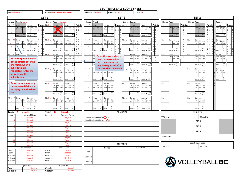|                    | Date: February 1, 2017                                             |                    | <b>Location: Harry Jerome Sports Centre</b> |                                       | Scheduled Time: 14:00<br>Actual Time: 14:10<br>Court: 1 |          |                                                                             |                                 |                        |                 |                                         |                          |                             |         |                                    |                                |         |                                         |                            |                             |                     |
|--------------------|--------------------------------------------------------------------|--------------------|---------------------------------------------|---------------------------------------|---------------------------------------------------------|----------|-----------------------------------------------------------------------------|---------------------------------|------------------------|-----------------|-----------------------------------------|--------------------------|-----------------------------|---------|------------------------------------|--------------------------------|---------|-----------------------------------------|----------------------------|-----------------------------|---------------------|
|                    | SET <sub>1</sub>                                                   |                    |                                             |                                       |                                                         |          | SET <sub>2</sub>                                                            |                                 |                        |                 |                                         |                          |                             |         | SET <sub>3</sub>                   |                                |         |                                         |                            |                             |                     |
| Line up            | Team A: Lion:                                                      | Line up            | Team B: Canucks                             |                                       |                                                         | Line up  | Team B:                                                                     |                                 |                        | Line up         | Team A:                                 |                          |                             | Line up | Team :                             |                                | Line up | Team :                                  |                            | Team :                      |                     |
| P1:1 /             | Server:1<br>Server:                                                | Points $P1:4$      | erver:                                      | Server:                               | <b>Points</b>                                           | P1: /    | Server:                                                                     | Server:                         | Points                 | P1:             | Server:                                 | Server:                  | <b>Points</b>               | P1      | Server:                            | <b>Points</b>                  | P1:     | erver:                                  | <b>Points</b>              | Server:                     | Points              |
|                    | Tos<br>$\vdash$ 1                                                  |                    | B Tos fos                                   | ľ٥٤<br>Гоs<br>s to                    | $+1$ 1 2                                                |          | в<br>Tos<br>str                                                             | B Tos<br>Serv<br>i fo           | $1 \mid 1 \mid 2$      |                 | A   Tos<br>To:<br>s to<br>$\frac{1}{2}$ | A Tos<br>Serv            | $1 \mid 1 \mid 2$           |         | 2nd<br>Tos<br>1st<br>Tos           | $\mathbf{1}$                   |         | $s$ erv<br>1st<br>Tos<br>2nc<br>To:     | $1 \vert 1 \vert$          | Serv 1st<br>e Tos           | $1 \quad 1 \quad 2$ |
| $\pm$              | - 31                                                               |                    |                                             | Serv <sub>1</sub>                     | 3 5                                                     |          |                                                                             |                                 | 3!                     |                 |                                         |                          | $2 \mid 3 \mid 5$<br>311    |         |                                    | $\overline{2}$                 |         |                                         | $2 \mid 3$                 |                             | 2 3 5               |
|                    | $3 \mid 1$<br>Sci<br>Sco<br>Score 21                               |                    | Sco                                         | Sco                                   | $1\overline{2}$                                         |          | Sor                                                                         | Sor                             |                        |                 | Sco                                     | Sc                       |                             |         | Sor                                | $\overline{\mathbf{3}}$<br>4   |         | Scc                                     | $3 \mid 1$                 | Sco                         |                     |
|                    | Score :                                                            |                    | core:                                       | Score :                               |                                                         |          | Score :<br>ra:                                                              | Score :                         |                        |                 | core :                                  | core                     |                             |         | Score :                            | 5                              |         | Score :<br>$re =$                       | 1                          | Score $\frac{1}{100}$       |                     |
| P2:2 / 7           | Server:<br>Server:                                                 | P2:5               | Server:                                     | Server:                               |                                                         | P2:      | Server:                                                                     | Server:                         | 517<br>$\overline{7}$  | P2:             | Server                                  | Server:                  |                             | P2:     | Server                             | 6                              | P2:     | Server:                                 | i 5                        | Server:                     |                     |
| 4:2                | $Tos$ 7 1<br>A<br>Tos<br>Tos <sup>I</sup><br>Гоs<br>6 <sup>1</sup> |                    | B Tos<br>Tos                                | B<br>Tos<br>ľos                       |                                                         |          | $\overline{B}$<br>Tos                                                       | B Tos                           | $1\overline{2}$<br>61s |                 | A Tos<br>Tos                            | A Tos<br>Serv            | 712                         |         | Serv 1st<br>2 <sub>nd</sub><br>Tos | $\overline{7}$<br>$\mathbf{8}$ |         | Serv<br>1st<br>2nd<br>.<br>Tos          | 7 1<br>8 6                 | Serv 1st                    |                     |
| $\div$             | k                                                                  |                    |                                             |                                       |                                                         |          |                                                                             |                                 |                        |                 |                                         |                          |                             |         |                                    | $\mathsf{q}$                   | $\pm$   |                                         | $\overline{\phantom{0}}$ 1 |                             |                     |
|                    | Sco<br>Scc<br>Score<br>Score :<br>0 <sub>1</sub>                   |                    | Sco<br>Score :                              | Sco<br>Score :                        | ۱۹<br>$1 \vert 3$<br>0                                  |          | Sco<br>Score :                                                              | Sco<br>Score :                  | 0                      |                 | Sco<br>Score :                          | Sco<br>Score :           | 013                         |         | Sco<br>Score :                     | $\mathbf{1}$<br>$\Omega$       |         | Sco<br>Score :                          | 1   7<br>$0 \mid 1$        | Sco<br>Score :              | 0                   |
| P3:3 /             | 180<br>Server:<br>Server:                                          | P3:6/              | Server:                                     | Server:                               | 8 0                                                     | P3: /    | Ser                                                                         |                                 |                        |                 | Server:                                 | Server:                  | 1   8   0                   | P3:     | Server:                            |                                | P3: /   | Server:                                 | 18                         | Server:                     |                     |
|                    | $\mathbf T$                                                        |                    | B<br>Serv<br>Tos<br>Tos<br>s to             | B<br>Tos<br>os.                       | $\mathbf T$                                             |          | B                                                                           | Enter the score when a          |                        |                 | Tos<br>To:<br>A<br>$\cdots$             | $\overline{A}$<br>Tos    | $\mathbf{T}$                |         | Serv<br>1st<br>Tos<br>2nd<br>Tos   | $\mathbf T$                    |         | 1st<br>2nc<br>Tos                       | $\mathsf T$                | 1st<br>Serv                 | $\mathsf T$         |
|                    | <b>Enter the jersey number</b>                                     |                    |                                             | s to<br>Serv                          | $1$ :                                                   |          |                                                                             | team requests a time            |                        |                 | e tr                                    | Serv                     | $\mathcal{I}^{\mathcal{I}}$ |         |                                    | $\pm$                          |         | Tos                                     | $\cdot$                    |                             | $\pm$               |
|                    | of the athlete entering<br>$\pm$                                   |                    | Sco                                         | Sco                                   | $\pm$                                                   |          |                                                                             | out. Time outs may              |                        |                 | Sco                                     | Scc                      | $\sim$                      |         | Sco                                | $\pm$                          |         | Sco                                     | $\pm$                      | Sco                         | $\sim 10^7$         |
|                    | the match when a                                                   |                    | Score :                                     | Score :                               |                                                         |          |                                                                             | only be requested after         |                        |                 | Score :                                 | Score :                  |                             |         | Score :                            |                                |         | Score :                                 |                            | Score :                     |                     |
|                    | substitution is                                                    | P4: 7              | Server:                                     | Server:                               |                                                         | P4:      | Ser                                                                         | the three ball sequence.        |                        |                 | Server:                                 | Server:                  |                             | P4:     |                                    |                                | P4:     | Server:                                 |                            | Server:                     |                     |
|                    | requested. Enter the                                               |                    | $B$ Tos<br>Tos<br>etc<br>Serv               | B Tos<br>Tos<br>s te<br>Serv<br>the   |                                                         |          | B.<br>.<br>Serv<br>eto Leto                                                 | $S_{AV}$<br>$_{\rm ent}$<br>etc |                        |                 | A Tos Tos                               | A Tos Tos<br>Serv<br>eto |                             |         |                                    |                                |         | 1st 2nd<br>Tos Tos<br>Serv              |                            | Serv 1st<br>2 <sub>nd</sub> |                     |
|                    | score below the<br>substitution.                                   |                    |                                             |                                       |                                                         |          |                                                                             |                                 |                        |                 |                                         |                          |                             |         |                                    |                                |         |                                         |                            |                             |                     |
|                    |                                                                    |                    | Sco<br>Score :<br>$r_{\alpha}$              | Scr<br>Score                          |                                                         |          | Sco<br>Score :<br>ra.                                                       | Sco<br>Score :<br>$r \alpha$    |                        |                 | Sco<br>Score                            | Soc<br>. .<br>Score      |                             |         |                                    |                                |         | Sco<br>Score :                          |                            | Score:                      |                     |
|                    | <b>Substitutions may only</b>                                      | P5:8               | Server:                                     | Server:                               |                                                         | P5:      | Server:                                                                     | Server:                         |                        | 5:              | Server:                                 | Server:                  |                             | P5:     |                                    |                                | P5:     | Server:                                 |                            |                             |                     |
|                    | be requested if there is                                           |                    | B<br>Tos<br>Tos                             | B<br>Tos<br>Tos                       |                                                         |          | $\overline{B}$<br>Tos Tos                                                   | B<br>Tos<br>Tos                 |                        |                 | Tos<br>Tos<br>A                         | $\overline{A}$<br>Tos    |                             |         |                                    |                                |         | $\frac{1}{2}$<br>1st<br>2 <sub>nd</sub> |                            |                             |                     |
|                    | an injury or in the third                                          | $\cdot$            |                                             |                                       |                                                         | $\sim$   |                                                                             |                                 |                        | $\Delta$        |                                         |                          |                             | $\cdot$ |                                    |                                | $\pm$   |                                         |                            |                             |                     |
| set.               |                                                                    |                    | Sco                                         |                                       |                                                         |          |                                                                             |                                 |                        |                 | Scc                                     |                          |                             |         |                                    |                                |         |                                         |                            |                             |                     |
|                    |                                                                    |                    | Score :                                     | Score :                               |                                                         |          | Score :                                                                     | Score :                         |                        |                 | Score :                                 | $\cdot$<br>Score         |                             |         |                                    |                                |         | Score :                                 |                            |                             |                     |
| P6:12 /            | Server:<br>Server                                                  | P6:9 /             | Server                                      | Server                                |                                                         | P6: /    | Server:                                                                     | Server:                         |                        | P6: /           | Server:                                 | Server:                  |                             | P6: /   |                                    |                                | P6: /   | Server                                  |                            |                             |                     |
| $\cdot$            | A Tos Tos<br>Serv sto sto<br>A<br>Serv<br>Tos Tos<br>sto sto       |                    | B Tos Tos<br>Serv sto sto                   | $\overline{B}$<br>Tos<br>s to<br>Serv |                                                         |          | B Tos Tos<br>Serv sto sto                                                   | B Tos Tos<br>Serv sto sto       |                        |                 | A Tos<br>Serv sto<br>Tos<br>s to        | A Tos<br>Serv            |                             |         |                                    |                                |         | Serv 1st 2nd<br>e Tos Tos               |                            |                             |                     |
| $\sim$             |                                                                    |                    |                                             |                                       |                                                         |          |                                                                             |                                 |                        |                 |                                         |                          |                             |         |                                    |                                |         |                                         |                            |                             |                     |
|                    | Sco<br>Sco<br>Score : $re =$<br>Score<br>$re =$                    |                    | $\operatorname{Sco}$<br>Score : $re =$      | Sco<br>Score<br>re :                  |                                                         |          | Sco<br>Score : $re =$                                                       | Sco<br>Score : re=              |                        |                 | $\operatorname{Sco}$<br>Score : $re =$  | Scc<br>$:$ re-<br>Score  |                             |         |                                    |                                |         | Sco<br>Score : re-                      |                            |                             |                     |
| Team               | <b>Lions</b>                                                       | Team               |                                             | <b>Canucks</b>                        |                                                         |          |                                                                             |                                 |                        | <b>REMARKS</b>  |                                         |                          |                             |         |                                    |                                |         | <b>RESULTS</b>                          |                            |                             |                     |
| lersey#            | Name of Player                                                     | Jersey#            |                                             | Name of Player                        |                                                         |          |                                                                             |                                 |                        |                 |                                         |                          |                             |         |                                    |                                |         |                                         |                            |                             |                     |
|                    | Player A<br><b>Player B</b>                                        |                    |                                             | Player A<br><b>Player B</b>           |                                                         |          | Team A Designated Setter <sup>2</sup> or 3<br>Team B Designated Setter: 2 o |                                 |                        |                 |                                         |                          |                             | TEAM A: |                                    |                                |         | TEAM B:                                 |                            |                             |                     |
|                    | Player C                                                           |                    |                                             | Player C                              |                                                         |          |                                                                             |                                 |                        |                 |                                         |                          |                             |         |                                    |                                |         | SET <sub>1</sub>                        |                            |                             |                     |
|                    | Player D                                                           |                    |                                             | Player D                              |                                                         |          |                                                                             |                                 |                        |                 |                                         |                          |                             |         |                                    |                                |         | SET <sub>2</sub>                        |                            |                             |                     |
|                    | <b>Player E</b>                                                    |                    |                                             | <b>Player F</b>                       |                                                         |          |                                                                             |                                 |                        |                 |                                         |                          |                             |         |                                    |                                |         |                                         |                            |                             |                     |
|                    | Player <sub>F</sub><br>Player G                                    |                    |                                             | Player <sub>F</sub><br>Player G       |                                                         |          |                                                                             |                                 |                        |                 |                                         |                          |                             |         |                                    |                                |         | SET <sub>3</sub>                        |                            |                             |                     |
|                    | Player H                                                           |                    |                                             | Player H                              |                                                         |          |                                                                             |                                 |                        |                 |                                         |                          |                             | WINNER: |                                    |                                |         |                                         |                            |                             |                     |
|                    | Player1                                                            | $\mathbf{q}$       |                                             | Player I                              |                                                         |          |                                                                             |                                 |                        |                 |                                         |                          |                             |         |                                    |                                |         |                                         |                            |                             |                     |
| 10<br>11           | Player J<br>Player K                                               | 10<br>11           |                                             | Player J<br>Player K                  |                                                         |          |                                                                             |                                 |                        |                 |                                         |                          |                             |         |                                    |                                |         | Coach Signatures                        |                            |                             |                     |
| 12                 | Player L                                                           | 12                 |                                             | Player L                              |                                                         |          |                                                                             |                                 |                        | <b>REFEREES</b> |                                         |                          |                             |         |                                    |                                |         |                                         |                            |                             |                     |
|                    | <b>Team Leaders</b>                                                |                    |                                             | <b>Team Leaders</b>                   |                                                         |          |                                                                             | Names                           |                        |                 |                                         | Signatures               |                             | Coach A |                                    |                                |         | Coach B                                 |                            |                             |                     |
| Coach              | Coach A                                                            | Coach              |                                             | Coach A                               |                                                         | 1st      |                                                                             |                                 |                        |                 |                                         |                          |                             |         |                                    |                                |         |                                         |                            |                             |                     |
| NCCP#<br>Assistant | #111111<br>Coach B                                                 | NCCP#<br>Assistant |                                             | #111111<br>Coach B                    |                                                         |          |                                                                             |                                 |                        |                 |                                         |                          |                             |         |                                    |                                |         |                                         |                            |                             |                     |
| <b>Assistant</b>   | Coach C                                                            | Assistant          |                                             | Coach C                               |                                                         | Scorer 1 |                                                                             |                                 |                        |                 |                                         |                          |                             |         |                                    |                                |         |                                         |                            |                             |                     |
| <b>Assistant</b>   | Coach D                                                            | Assistant          |                                             | Coach D                               |                                                         | Scorer 2 |                                                                             |                                 |                        |                 |                                         |                          |                             |         |                                    |                                |         |                                         |                            | <b>SS</b> VOLLEYBALLBC      |                     |
|                    |                                                                    |                    |                                             |                                       |                                                         |          |                                                                             |                                 |                        |                 |                                         |                          |                             |         |                                    |                                |         |                                         |                            |                             |                     |
| Coach              | Signatures<br>Coach A                                              | Coach              |                                             | Signatures<br>Coach A                 |                                                         |          |                                                                             |                                 |                        |                 |                                         |                          |                             |         |                                    |                                |         |                                         |                            |                             |                     |
| Captain            | <b>Player</b>                                                      | Captain            |                                             | Player A                              |                                                         |          |                                                                             |                                 |                        |                 |                                         |                          |                             |         |                                    |                                |         |                                         |                            |                             |                     |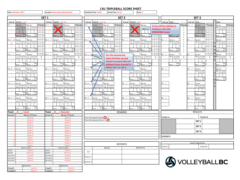| Date: February 1, 2017 |                                                                                          | <b>Location: Harry Jerome Sports Centre</b>                                            | Scheduled Time: 14:00<br>Actual Time: 14:10<br>Court: 1                                                                                    |                                                                                                                                        |
|------------------------|------------------------------------------------------------------------------------------|----------------------------------------------------------------------------------------|--------------------------------------------------------------------------------------------------------------------------------------------|----------------------------------------------------------------------------------------------------------------------------------------|
|                        |                                                                                          | SET <sub>1</sub>                                                                       | SET <sub>2</sub>                                                                                                                           | SET <sub>3</sub>                                                                                                                       |
| Line up                | Team A: Lions                                                                            | Line up Team B: Canucks                                                                | Line up Team A: Lions<br>Line up Team B: Canucks                                                                                           | Line up Team :<br>Line up Team :<br>Team :                                                                                             |
| P1:1 /                 | Server:<br>Server:1                                                                      | Points P1:4<br>Points<br>Server:<br>Server:                                            | Points P1:<br>P1:1<br>Server:<br>Server:<br>Server:<br>Server:                                                                             | Points<br><b>Points</b><br><b>Points</b><br>Server:<br>Server:                                                                         |
|                        | os'<br>Tos<br>A<br>Tos<br>$\mathsf{A}$                                                   | Tos<br>$\overline{\text{os}}$<br>B<br>$\mathop{\hbox{\rm\bf Tos}}$<br>Tos<br>$\pm$ 1 2 | Tos<br>B<br><b>os</b><br>A Tos<br>Tos<br>Tos<br>$1 \mid 1 \mid 2$<br>Tos                                                                   | Cross off the athlete in<br>1st<br>$\mathbf{1}$<br>$\sec$<br>1st<br>2nd<br>$1 \quad 1 \quad 2$<br>Serv I<br>$1 \quad 1 \quad 2$<br>2nd |
|                        | $\mathbf{t}$<br>$\frac{1}{2}$<br>eto<br>Serv                                             | Serv <sup>1</sup><br>$s$ to<br>Serv<br>s to<br>s to<br>$2 \quad 3 \quad 5$             | sto<br>ierv <sup>1</sup><br>s to<br>Serv<br>2 <sup>1</sup><br>3                                                                            | <b>Position 1 for the</b><br>Tos<br>$\sim$<br>To:<br>Toe<br>$\overline{2}$<br>2 <sup>2</sup>                                           |
|                        | Sco<br>Sc.                                                                               | 1 <sup>1</sup><br>Sco                                                                  | $\blacksquare$<br>$\overline{\mathbf{3}}$<br>Scc<br>Sco<br>$S_{O}$                                                                         | <b>RECEIVING team.</b><br>: I 1<br>$\overline{\mathbf{3}}$<br>Sco                                                                      |
|                        | Score $21_{\text{ra}}$<br>Score :<br>ro                                                  | Sco<br>Score :<br>Score :                                                              | Sco<br>4<br>core :<br>Score:<br>Score :<br>Score :<br>$ro-$<br>$ra -$<br>5                                                                 | Sco<br>$\overline{4}$<br>Score:<br>Score : $re =$<br>Score :<br>$ro-$<br>ra.<br>5                                                      |
| $P2:2$ /7              | Server<br>Server:                                                                        | 6517<br>P2:5<br>Server:5<br>Server:                                                    | $6 \mid 5 \mid$<br>6 5 7<br>P2:2<br>P2:<br>Server:<br>Server:<br>Server:                                                                   | 6<br>$5 - 5$<br>p?<br>Server:<br>י כפ<br>Server:<br>ierver:                                                                            |
| 4:2                    | Tos<br>s to<br>A<br>$\overline{A}$<br>Tos<br>sto<br>Tos<br>l 1<br>Serv<br>Serv           | B Tos<br>Serv sto<br>$7 1 2$<br>B<br>Tos Tos<br>Tos                                    | 7112<br>7 <sup>1</sup><br>B Tos<br>Serv sto<br>A Tos<br>Tos Tos<br>A Tos<br>Serv sto<br>B<br>Tos<br>Tos<br>Tos<br>$\overline{\phantom{a}}$ | $\overline{7}$<br>712<br>Serv 1st<br>e Tos<br>Serv 1st<br>e Tos<br>Serv 1st 2nd<br>2nd<br>2 <sub>nd</sub>                              |
|                        | $\vert$ 1                                                                                | 6<br>$1\overline{2}$<br>9                                                              | 8<br>8<br>9<br>q<br>$1\overline{2}$                                                                                                        | 8<br>9<br>$\overline{1}$                                                                                                               |
|                        | Sco<br>So<br>$\overline{7}$                                                              | Sco<br>Sco<br>1 7 9                                                                    | $\vert 1 \vert$<br>Sco<br>Sco<br>Sco<br>Sco                                                                                                | $\mathbf 1$<br>Sco<br>Sco<br>$S\alpha$                                                                                                 |
|                        | Score :<br>Score :<br><b>re</b><br>$\overline{1}$                                        | Score :<br>Score :<br>re:<br>ro<br>$0 \quad 1 \quad 3$                                 | Score :<br>Score<br>$\cdot$ :<br>Score :<br>re:<br>re<br>ra.<br>$\mathbf 0$<br>$0\quad1$                                                   | Score :<br>Score :<br>core :<br>$re =$<br>re:<br>$\mathsf 0$<br>0 1                                                                    |
| P3:3 /                 | $\boldsymbol{8}$<br>Server:<br>Server:                                                   | 180<br>P3:6<br>Server:<br>Server:                                                      | 180<br>P3: 3 /<br>Server:<br>Server:<br>For the second set,                                                                                | 181<br>P3:<br>Server:<br>Server:<br>erver:<br>23: /                                                                                    |
|                        | $\mathsf{A}$<br>A<br>Tos<br>Гos<br>Tos<br>Tos<br>T<br>Serv<br>to<br>s to<br>Serv<br>s to | B Tos<br>Serv sto<br>$\overline{B}$<br>Tos Tos<br>Tos<br>$\mathbf{T}$<br>Serv<br>s to  | Tos<br>Tos To<br>Tos<br>A Tos<br>Γo:<br>$\mathbf{T}$<br>s to<br>Serv<br>enter the line up and<br>s to<br>Ser                               | Serv 1st<br>e Tos<br>Serv<br>e<br>1st<br>1st<br>2 <sub>nd</sub><br>$\mathbf{T}$<br>T<br>$\mathsf{T}$<br>Tos<br>Tos<br>Tos              |
|                        | $\pm$                                                                                    | 1 <sub>1</sub>                                                                         | $\pm$<br>check to ensure that all                                                                                                          | $\pm$<br>$\pm$<br>$\pm$                                                                                                                |
|                        | Sco<br>Sci<br>$\pm$<br>Score :<br>Score :                                                | Sco<br>Sco<br>$\pm$<br>Score :<br>Score<br>$\cdot$ :                                   | Sco<br>Sco<br>Sco<br>$\pm$<br>$\mathcal{L}$<br>athletes have started in<br>Score:                                                          | Sco<br>$\operatorname{Sco}$<br>Sco<br>$\pm$<br>$\pm$<br>$\pm$<br>Score :<br>core :<br>Score :                                          |
|                        |                                                                                          |                                                                                        | either set 1 or set 2.                                                                                                                     |                                                                                                                                        |
| P4:10                  | Server:<br>Server:<br>A<br>A<br>Tos<br>Tos To                                            | P4: 7<br>Server<br>Server<br>$\mathbf{B}$<br>Tos Tos<br>Tos                            | $P4:10$ /<br>Server:<br>Server<br>Tos<br>A Tos<br>в<br><b>B</b><br>А<br>To:<br>Tos                                                         | P4:<br>94:1<br>Server:<br>erver:<br>1st<br>Serv 1st<br>2 <sub>nd</sub>                                                                 |
|                        | Tos<br>s to<br>Serv<br>s to<br>Serv                                                      | B Tos<br>Serv sto<br>Serv<br>s to                                                      | Tos Tos<br>sto sto<br>Serv<br>s to<br>s to<br>s to<br>Serv<br>s to                                                                         | Serv<br>e<br>Tos<br>Tos<br>Tos<br>To:                                                                                                  |
|                        |                                                                                          |                                                                                        |                                                                                                                                            |                                                                                                                                        |
|                        | Sco<br>Sci<br>Score :<br>Score :<br>re.<br>$ra -$                                        | Sco<br>Sco<br>Score :<br>$\cdot$<br>core<br>re:                                        | Sco<br>Scc<br>Soc<br>Scc<br>Score:<br>Score :<br>Score :<br>re:<br>ra                                                                      | Sco<br>Sco<br>Score :<br>$\frac{1}{2}$<br>re                                                                                           |
| P5:11                  | Server:<br>Server:                                                                       | P5:8 /<br>Server:<br>Server:                                                           | P5:11<br>P5:<br>Sen er<br>Server:<br>Server:<br>Server:                                                                                    | PS: /<br>55:<br>Server:                                                                                                                |
|                        | $\mathsf A$<br>$\overline{A}$<br>Tos Tos<br>Tos<br>Tos                                   | $\overline{B}$<br>B Tos<br><b>Tos</b><br>Tos                                           | B Tos Tos<br>Tos<br>A<br>Tos<br>$\mathbf{B}$<br>Tos <sup>I</sup><br>$\mathsf{A}$<br>To:<br>Tos                                             | Serv<br>1st<br>2n                                                                                                                      |
|                        | Serv<br>s to<br>Serv                                                                     | s to<br>Serv<br>s to<br>$\sim$                                                         | s to<br>s to<br>Serv<br>s to<br>Serv                                                                                                       | $\cdot$                                                                                                                                |
|                        | $\operatorname{Sco}$                                                                     | Sco<br>Sco                                                                             | Sco<br>So<br>Sco<br>Scc                                                                                                                    | Sco                                                                                                                                    |
|                        | Score :<br>Score :                                                                       | Score :<br>Score :                                                                     | Score :<br>Score :<br>Score :<br>Score :                                                                                                   | Score :                                                                                                                                |
| P6:12                  | Server:<br>Server:                                                                       | P6:9 /<br>Server:<br>Server:                                                           | P6:12 /<br>P6:<br>Server:<br>Server:<br>Server:<br>Server:                                                                                 | P6: /<br>P6: /<br>Server:                                                                                                              |
|                        | $\overline{A}$<br>Tos Tos<br>sto sto<br>A Tos Tos<br>Serv<br>Serv<br>s to                | B Tos Tos<br>B Tos<br>To:<br>Serv<br>s to<br>stost<br>Serv<br>s to                     | B Tos<br>$\overline{A}$<br>Tos<br>sto<br>A Tos<br>в<br>Tos<br>To:<br>Tos<br>Tos<br>Serv<br>s to<br>Serv<br>s to<br>s to                    | Serv<br>1st<br>$\epsilon$<br>Tos<br>Tos                                                                                                |
|                        |                                                                                          |                                                                                        |                                                                                                                                            |                                                                                                                                        |
|                        | $\operatorname{Sco}$<br>Sci<br>Score : $re =$<br>Score<br>re                             | Sco<br>Sco<br>Score : $re =$<br>Score<br>re                                            | Sco<br>Scc<br>Sco<br>Scc<br>Score :<br>$re =$<br>$:$ re=<br>re:<br>Score<br>re:<br>Score                                                   | Sco<br>core :<br>re                                                                                                                    |
| <b>Team</b>            | <b>Lions</b>                                                                             | Team<br><b>Canucks</b><br>в                                                            | <b>REMARKS</b>                                                                                                                             | <b>RESULTS</b>                                                                                                                         |
| Jersey #               | Name of Player                                                                           | Jersey#<br>Name of Player                                                              |                                                                                                                                            |                                                                                                                                        |
|                        | Player A                                                                                 | Player A                                                                               | Team A Designated Setter <sup>2</sup> or 3                                                                                                 | TEAM B:<br>TEAM A:                                                                                                                     |
|                        | Player B                                                                                 | Player B                                                                               | Team B Designated Setter: 2 o 3                                                                                                            | SET <sub>1</sub>                                                                                                                       |
|                        | Player C<br>Player D                                                                     | Player C<br><b>Player D</b>                                                            |                                                                                                                                            |                                                                                                                                        |
|                        | <b>Player E</b>                                                                          | <b>Player</b> F                                                                        |                                                                                                                                            | SET <sub>2</sub>                                                                                                                       |
|                        | <b>Player</b> F                                                                          | Player <sub>F</sub>                                                                    |                                                                                                                                            | SET <sub>3</sub>                                                                                                                       |
|                        | Player G                                                                                 | Player G                                                                               |                                                                                                                                            |                                                                                                                                        |
|                        | Player H<br>Player I                                                                     | Player <sub>H</sub><br>Player I                                                        |                                                                                                                                            | WINNER:                                                                                                                                |
| $\mathbf{1}$           | Player J                                                                                 | 10<br>Player J                                                                         |                                                                                                                                            |                                                                                                                                        |
| $\mathbf{1}$           | <b>Player K</b>                                                                          | 11<br>Player K                                                                         | <b>REFEREES</b>                                                                                                                            | Coach Signatures                                                                                                                       |
| $\overline{1}$         | Player L                                                                                 | 12<br>Player L                                                                         |                                                                                                                                            | Coach B<br>Coach A                                                                                                                     |
| Coach                  | <b>Team Leaders</b><br>Coach A                                                           | <b>Team Leaders</b><br>Coach<br>Coach A                                                | Names<br>Signatures                                                                                                                        |                                                                                                                                        |
| NCCP#                  | #111111                                                                                  | NCCP#<br>#111111                                                                       | 1st                                                                                                                                        |                                                                                                                                        |
| Assistan               | Coach B                                                                                  | Assistant<br>Coach B                                                                   | Scorer 1                                                                                                                                   |                                                                                                                                        |
| Assistant              | Coach C                                                                                  | Assistant<br>Coach C                                                                   |                                                                                                                                            |                                                                                                                                        |
| Assistant              | Coach D                                                                                  | Assistant<br>Coach D                                                                   | Scorer 2                                                                                                                                   | <b>SS</b> VOLLEYBALLBC                                                                                                                 |
|                        | Signatures                                                                               | Signatures                                                                             |                                                                                                                                            |                                                                                                                                        |
| Coach                  | Coach A                                                                                  | Coach<br>Coach A                                                                       |                                                                                                                                            |                                                                                                                                        |
| Captain                | Player A                                                                                 | Captain<br><b>Player</b>                                                               |                                                                                                                                            |                                                                                                                                        |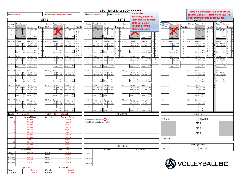|                |                                                                       |                     |                                                           |                       |                                                                                          |                                               |                         |                  | <b>13U TRIPLEBALL SCORE SHEET</b>                              |                                |                         | Teams will switch sides when one team   |               |                                |
|----------------|-----------------------------------------------------------------------|---------------------|-----------------------------------------------------------|-----------------------|------------------------------------------------------------------------------------------|-----------------------------------------------|-------------------------|------------------|----------------------------------------------------------------|--------------------------------|-------------------------|-----------------------------------------|---------------|--------------------------------|
|                | Date: February 1, 2017                                                |                     | <b>Location: Harry Jerome Sports Centre</b>               | Scheduled Time: 14:00 |                                                                                          |                                               | Actual Time: 14:10      |                  | If a third set is                                              |                                |                         | reaches 8 points. Teams will not switch |               |                                |
|                |                                                                       |                     |                                                           |                       |                                                                                          |                                               |                         |                  | necessary, enter the                                           |                                |                         | until after the three ball sequence.    |               |                                |
|                |                                                                       | SET <sub>1</sub>    |                                                           |                       |                                                                                          |                                               |                         | SET <sub>2</sub> | team names and cross                                           |                                |                         |                                         |               |                                |
|                |                                                                       | Line up             |                                                           |                       |                                                                                          |                                               |                         | Line up          | off the athlete in                                             | Line up                        |                         | Line up                                 |               |                                |
| Line up        | Team A: Lions<br>Points                                               |                     | Team B: Canucks<br>Points                                 | Line up               | Team B: Canucks                                                                          |                                               | Points P1:              |                  | <b>Position 1 for the</b>                                      | Team : Canucks                 |                         | Team : Lions                            |               | Team : Canucks<br>Points       |
| $P1:1$ /       | Server:1<br>Server:<br>Tos<br>$\mathsf{A}$<br>Tos                     | P1:4                | Server:<br>Server:<br>Tos<br><b>os</b>                    | P1:1 /                | Server:<br>B                                                                             | Server:<br>$\overline{B}$<br>Tos              | 111                     |                  | <b>RECEIVING team.</b>                                         | P1: 7<br><b>Nover:</b>         | Points                  | Server:<br>P1: /                        | <b>Points</b> | Server:                        |
|                | s to                                                                  |                     | Serv<br>$\int$ s to<br>$\mathbf{R}$                       |                       |                                                                                          | s to                                          | $2 \mid 3$              |                  |                                                                | Service of<br>and<br>Tos       | 1<br>$\overline{2}$     | 1st<br>Tos<br>Tos                       | $\mathbf{1}$  |                                |
| $\cdot$        |                                                                       |                     |                                                           |                       |                                                                                          |                                               | $\overline{\mathbf{3}}$ |                  |                                                                |                                | $\overline{\mathbf{3}}$ |                                         |               |                                |
|                | Sco<br>Sco<br>$score$ 2 1<br>Score :                                  |                     | Sco<br>Sco<br>Score :<br>Score :<br>ro.                   |                       | Sco<br>Score                                                                             | Soc<br>Score:                                 |                         |                  | $\frac{Sco}{re}$<br>Score : $\frac{Sco}{re}$<br>4 6<br>Score : | Sco<br>core:                   | $\overline{4}$          | Sco<br>Score:<br>$ro-$                  |               | Sco<br>Score :<br>$ra -$       |
|                |                                                                       |                     |                                                           |                       |                                                                                          |                                               |                         |                  |                                                                |                                | 5                       |                                         |               |                                |
| P2:2 /7        | $\overline{5}$<br>Server:<br>Server:<br>$\overline{A}$                | P2:5 /              | Server:5<br>Server:<br>В<br>$\overline{B}$<br>Tos         | P2:2                  | Server:<br>в                                                                             | Server:<br>B Tos                              | 6<br>$\overline{7}$     | P2:              | Server:<br>Server:<br>A<br>Tos                                 | P <sub>2</sub> :<br>Server:    | -6<br>$\overline{7}$    | P2: /<br>Server:<br>1st                 | l s           | Server:<br>Serv<br>1st         |
| 4:2            | Tos<br>Tos<br>Tos<br>Serv                                             |                     | os Tos<br>Tos                                             |                       | م<br>Serv                                                                                | Serv<br>s tr                                  | 8                       |                  | $\mathsf{A}$<br>Tos<br>Tos<br>'os                              | Serv<br>1st<br>2nd<br>Tos      | 8                       | Serv<br>2 <sub>nd</sub><br>Tos<br>Tos   |               | 2nd                            |
|                |                                                                       |                     |                                                           |                       |                                                                                          |                                               | $\overline{9}$          |                  |                                                                |                                | 9                       |                                         |               |                                |
|                | Sco<br>Sci<br>Score:<br>Score :                                       |                     | Sco<br>Sco<br>Score :<br>Score :                          |                       | So<br>Score :                                                                            | Soc<br>Score:                                 |                         |                  | Scc<br>Sco<br>Score :<br>Score :                               | So<br>Score:                   | $\mathbf{1}$            | Sco<br>Score :                          |               | $\operatorname{Sco}$<br>Score: |
|                | $\frac{1}{2}$                                                         |                     | $0 \mid 1 \mid 3$                                         |                       |                                                                                          |                                               | 011                     |                  |                                                                |                                | $\mathsf 0$             |                                         | D I 1         |                                |
| P3 3 /         | $\vert 8 \vert$<br>Server:<br>Server:                                 | P3:6                | $1 \vert 8 \vert 0$<br>Server:<br>Server:                 | P3: 3 /               | Server:                                                                                  | Server:                                       | 18                      | $\prime$<br>P3:  | 80<br>Server:<br>Server:                                       | $\sqrt{ }$<br>P3:<br>Server:   |                         | P3: /<br>Server:                        | 8             | Server:                        |
|                | A Tos<br>A Tos Tos<br>Serv sto sto<br>T<br>Serv                       |                     | $\overline{B}$<br>В<br>Tos<br>s to<br>$\mathbf{T}$<br>Sen |                       | B Tos<br>Serv sto                                                                        | B Tos<br>Serv sto                             | T                       |                  | $Tos$<br>sto<br>A<br>$\mathbf{T}$<br>s to                      | 1st<br>Tos<br>Gerv<br>e<br>Tos | $\mathbf{T}$            | Serv 1st 2nd<br>e Tos Tos               | T             | Serv<br>e<br>1st<br>T<br>Tos   |
|                | $\pm$                                                                 |                     | $1$ :                                                     |                       |                                                                                          |                                               | $\pm$                   |                  | $\pm$                                                          |                                | $\pm$                   |                                         | $\pm$         | $\pm$                          |
|                | Sco<br>$\pm$<br>Score:<br>Score :                                     |                     | Sco<br>Score :<br>Score :                                 |                       | Score :                                                                                  | Soc<br>Score :                                |                         |                  | Sco<br>Score :<br>Score :                                      | Sco<br>Score :                 |                         | Sco<br>Score :                          |               | Sco<br>Score:                  |
|                |                                                                       |                     |                                                           |                       |                                                                                          |                                               |                         |                  |                                                                |                                |                         | $r_{\Omega}$                            |               |                                |
| P4:10          | Server<br>Server:                                                     | P4:7 /              | Server:<br>Server:                                        | P4:10 /               | Server:                                                                                  | Server:                                       |                         | P4:              | <b>Server</b><br>Server:                                       | <sup>2</sup> 4: /              |                         | P4: /<br>Server:                        |               | Server:                        |
|                | A Tos<br>A<br>Tos<br>Tos<br>Serv<br>s fr                              |                     | B<br>в<br>Tos<br>Tos<br>Tos                               |                       | в<br>Tos<br>م<br>Serv                                                                    | B Tos<br>To:<br>Serv<br>$\sin$                |                         |                  | A<br>A<br>Tos<br>Tos<br>Tos                                    |                                |                         | 1st<br>Serv<br>2nc<br><b>Tos</b><br>Tο: |               | Serv<br>1st<br>2nd             |
|                |                                                                       |                     |                                                           |                       |                                                                                          |                                               |                         |                  |                                                                |                                |                         |                                         |               |                                |
|                | Sco<br>Sc<br>Score :<br>enne <sup>2</sup>                             |                     | Sco<br>Sc<br>Score :<br>Score :                           |                       | Score :                                                                                  | Scc<br>Score:<br>ra <sub>z</sub>              |                         |                  | Sco<br>So<br>Score :<br>Score :<br>$ra =$                      |                                |                         | Sc<br>Score :                           |               | Scc<br>Score :                 |
|                |                                                                       |                     |                                                           |                       |                                                                                          |                                               |                         |                  |                                                                |                                |                         |                                         |               |                                |
| 95:11          | Server:<br>Server:                                                    | P5:8                | Server:<br>Server:                                        | P5:11                 | Server:                                                                                  | Server:                                       |                         | P5:              | Server:<br>Server:                                             | P5: /                          |                         | .s:<br>Server:                          |               |                                |
|                | Tos<br>Tos<br>A Tos Tos<br>$\overline{A}$<br>$\cdots$<br>s to<br>Serv |                     | $\mathbf{B}$<br>B<br>Tos<br>Tos<br><b>Tos</b><br>Tos      |                       | B Tos                                                                                    | B Tos Tos<br>Serv<br>$\overline{\phantom{a}}$ |                         |                  | Tos<br>Tos<br>A<br>Tos<br>A<br>'ns                             |                                |                         | Serv 1st 2nd                            |               |                                |
|                |                                                                       |                     |                                                           |                       |                                                                                          |                                               |                         |                  |                                                                |                                |                         |                                         |               |                                |
|                | Sco<br>Sco<br>Score:<br>Score :                                       |                     | Sco<br>Sco<br>Score :<br>Score :                          |                       | Score :                                                                                  | Soc<br>Score:                                 |                         |                  | Scc<br>So.<br>Score :<br>Score :                               |                                |                         | Sco<br>Score:                           |               |                                |
|                |                                                                       |                     |                                                           |                       |                                                                                          |                                               |                         |                  | $r_{\alpha}$                                                   |                                |                         |                                         |               |                                |
| P6:12 /        | Server:<br>Server:                                                    | P6:9 /              | Server:<br>Server                                         | P6:12 /               | Server:                                                                                  | Server:                                       |                         | P6: /            | Server:<br>Server:                                             | P6: /                          |                         | P6: /<br>Server.                        |               |                                |
|                | A Tos<br>A Tos<br>Serv sto<br>Tos<br>Serv                             |                     | $\overline{B}$<br>B<br>Tos<br>Tos                         |                       | в<br>Tos<br>Sery                                                                         | B Tos<br>Serv sto<br>Serv                     |                         |                  | $\overline{A}$<br>Tos<br>$\mathsf{A}$<br>Tos<br>s to<br>Tos    |                                |                         | 1st<br>3erv                             |               |                                |
|                |                                                                       |                     |                                                           |                       |                                                                                          |                                               |                         |                  |                                                                |                                |                         |                                         |               |                                |
|                | $\operatorname{Sco}$<br>Sco                                           |                     | Sco<br>Scc                                                |                       | Scc                                                                                      | Soc                                           |                         |                  | Sco<br>Soc                                                     |                                |                         | Sco                                     |               |                                |
|                | Score : $re =$<br>Score<br>$\therefore$ re-                           |                     | Score : re=<br>Score<br>$\cdot$<br>re:                    |                       | Score : $re =$                                                                           | Score : re=                                   |                         |                  | Score : $re =$<br>Score : re-                                  |                                |                         | Score :<br>re:                          |               |                                |
| Team           | <b>Lions</b><br>А                                                     | Team                | <b>Canucks</b><br>в                                       |                       |                                                                                          |                                               |                         | <b>REMARKS</b>   |                                                                |                                |                         | <b>RESULTS</b>                          |               |                                |
| Jersey#        | Name of Player                                                        | Jersey#             | Name of Player<br>Player A                                |                       |                                                                                          |                                               |                         |                  |                                                                | TEAM A:                        |                         |                                         | TEAM B:       |                                |
|                | Player A<br><b>Player B</b>                                           |                     | Player B                                                  |                       | Team A Designated Setter <sup>2</sup> or 3<br>Team B Designated Setter: 2 o <sup>3</sup> |                                               |                         |                  |                                                                |                                |                         |                                         |               |                                |
|                | Player C                                                              |                     | Player C                                                  |                       |                                                                                          |                                               |                         |                  |                                                                |                                |                         | SET <sub>1</sub>                        |               |                                |
|                | Player D                                                              |                     | Player D                                                  |                       |                                                                                          |                                               |                         |                  |                                                                |                                |                         | SET <sub>2</sub>                        |               |                                |
|                | Player E                                                              |                     | <b>Player</b> F                                           |                       |                                                                                          |                                               |                         |                  |                                                                |                                |                         |                                         |               |                                |
|                | Player <sub>F</sub>                                                   |                     | Player <sub>F</sub>                                       |                       |                                                                                          |                                               |                         |                  |                                                                |                                |                         | SET <sub>3</sub>                        |               |                                |
|                | Player G<br>Player H                                                  |                     | Player G<br><b>Player H</b>                               |                       |                                                                                          |                                               |                         |                  |                                                                |                                |                         |                                         |               |                                |
|                | Player I                                                              |                     | <b>Player I</b>                                           |                       |                                                                                          |                                               |                         |                  |                                                                | WINNER:                        |                         |                                         |               |                                |
|                | Player J                                                              | 10                  | Player J                                                  |                       |                                                                                          |                                               |                         |                  |                                                                |                                |                         |                                         |               |                                |
| 11             | <b>Player K</b>                                                       | 11                  | Player K                                                  |                       |                                                                                          |                                               |                         | <b>REFEREES</b>  |                                                                |                                |                         | Coach Signatures                        |               |                                |
|                | Player                                                                | 12                  | <b>Player</b>                                             |                       |                                                                                          |                                               |                         |                  |                                                                | Coach A                        |                         | Coach B                                 |               |                                |
|                | Team Leaders                                                          |                     | <b>Team Leaders</b>                                       |                       |                                                                                          | Names                                         |                         |                  | Signatures                                                     |                                |                         |                                         |               |                                |
| Coach<br>NCCP# | Coach A<br>#111111                                                    | Coach<br>NCCP#      | Coach A<br>#111111                                        | 1st                   |                                                                                          |                                               |                         |                  |                                                                |                                |                         |                                         |               |                                |
| Assistant      | Coach B                                                               | Assistant           | Coach B                                                   |                       |                                                                                          |                                               |                         |                  |                                                                |                                |                         |                                         |               |                                |
| Assistant      | Coach C                                                               | Assistant           | Coach C                                                   | Scorer 1              |                                                                                          |                                               |                         |                  |                                                                |                                |                         |                                         |               |                                |
| Assistant      | Coach D                                                               | Assistant           | Coach D                                                   |                       |                                                                                          |                                               |                         |                  |                                                                |                                |                         |                                         |               |                                |
|                |                                                                       |                     | Signatures                                                | Scorer 2              |                                                                                          |                                               |                         |                  |                                                                |                                |                         | <b>SVOLLEYBALLBC</b>                    |               |                                |
|                | Signatures                                                            |                     |                                                           |                       |                                                                                          |                                               |                         |                  |                                                                |                                |                         |                                         |               |                                |
| Coach          | Coach A<br>Player A                                                   | Coach A<br>Player / |                                                           |                       |                                                                                          |                                               |                         |                  |                                                                |                                |                         |                                         |               |                                |
| Captain        |                                                                       | Captain             |                                                           |                       |                                                                                          |                                               |                         |                  |                                                                |                                |                         |                                         |               |                                |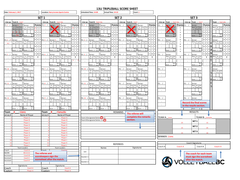| Date: February 1, 2017                                                       | <b>Location: Harry Jerome Sports Centre</b>         |                                  | Scheduled Time: 14:00 |                                            | Actual Time: 14:10                                    |                  |         |                                            | Court: 1                             |                                  |                      |                               |                         |                                |                 |                                   |                 |
|------------------------------------------------------------------------------|-----------------------------------------------------|----------------------------------|-----------------------|--------------------------------------------|-------------------------------------------------------|------------------|---------|--------------------------------------------|--------------------------------------|----------------------------------|----------------------|-------------------------------|-------------------------|--------------------------------|-----------------|-----------------------------------|-----------------|
|                                                                              | SET <sub>1</sub>                                    |                                  |                       |                                            |                                                       | SET <sub>2</sub> |         |                                            |                                      |                                  |                      |                               |                         | SET <sub>3</sub>               |                 |                                   |                 |
| Team A: Lions<br>Line up                                                     | Line up<br>Team B: Canucks                          |                                  | Line up               | <b>Team B: Canucks</b>                     |                                                       |                  | Line up | Team A: Lions                              |                                      |                                  | Line up              | Team : Canucks                | Line up                 | Team : Lions                   |                 | Team : Canucks                    |                 |
| P1:1 /<br>Server:1<br>Server:                                                | <b>Points</b><br>P1:4<br>Server:<br>Server:         | Points                           | P1:1 /                | Server:                                    | Server:                                               | <b>Points</b>    | P1:     | Server:                                    | Server:                              | <b>Points</b>                    | P1:                  | <b>Nover:</b>                 | Points<br>P1:           | Server:                        | <b>Points</b>   | Server:                           | <b>Points</b>   |
| Tos<br>Tos<br>s to<br>$\mathsf{A}$<br>Tos                                    | Tos<br>os.                                          | B Tos<br>$+1$ 2                  |                       | B<br>Tos                                   | $\overline{B}$<br>Tos<br>sto<br>Tos                   | 1112             |         | <b>Tos</b><br><b>os</b>                    | $\mathsf{A}$                         | $1 \vert 1 \vert$                | $\frac{1}{e}$        | $\sqrt{2}$<br>2nd             | $\,$ 1                  | 1st<br>2nd<br>Tos              | 111             | Serv<br>1st                       | $1 \mid 1 \mid$ |
| to:<br>Serv<br>sto                                                           | sto<br>Serv <sup>1</sup>                            | Serv sto<br>$3 \mid 5$           |                       | s to                                       | Serv<br>s to                                          | 3 L              |         | sto<br>erv <sup>1</sup>                    | Serv                                 | $2 \mid 3$                       |                      |                               | $\overline{2}$          |                                | $\overline{3}$  | <b>Tos</b>                        | $\vert$ 3       |
| Sco                                                                          | Scc                                                 | $1\overline{2}$<br>Sco           |                       |                                            |                                                       |                  |         | Sco                                        | Sco                                  | $3 \mid 1$                       |                      |                               | $\overline{\mathbf{3}}$ |                                | 3 1             | Sco                               | 311             |
| Score 2.1<br>Score:<br>re.                                                   | core<br>ra                                          | Score :<br><b>TA</b>             |                       | Score:<br>ra.                              | Score:                                                |                  |         | Score                                      | Score:                               | l 4<br>$\vert$ 1                 |                      | score:                        | $\overline{4}$<br>5     | Score :                        |                 | Score : re                        |                 |
| $P2:2$ /7<br>Server:<br>Server:                                              | P2:5<br>Server:5<br>Server:                         |                                  | P2:2/                 | Server:                                    | Server:                                               |                  | P2:     | Server:                                    | Server:                              | 5                                | P <sub>2</sub>       | Server:                       | $\boldsymbol{6}$<br>22: | Server:                        |                 | Server:                           | I 5             |
| A<br>$\overline{A}$<br>Tos<br>Tos<br>4.2                                     | в<br>Tos<br>Serv                                    | B Tos                            |                       | B<br>Tos Tos                               | $\overline{\phantom{a}}$<br>Tos<br>sto<br>Tos<br>Serv | $\overline{7}$   |         | $\overline{A}$<br>Tos<br>Tos               | $\overline{A}$<br>Tos<br>Serv        | $7 \vert 1$                      |                      | Serv 1st                      | $\overline{7}$          | Serv 1st<br>ľos                | $7\overline{ }$ | Serv<br>1st                       | $\vert$ 1       |
| $\mathcal{L}$                                                                |                                                     | 6 8<br>1   2                     |                       |                                            |                                                       | 6 I :            |         |                                            |                                      | 3 <sup>16</sup><br>$\frac{1}{2}$ |                      |                               | 8<br>9                  |                                | -6              |                                   | 3 6             |
| Sco<br>Score :<br>Score :                                                    | Sco<br>Score:<br>Score :                            | Sco                              |                       | Sco<br>Score :                             | Score:                                                |                  |         | Sco<br>Score:                              | Score:                               | $\overline{\phantom{0}}$         |                      | Sco<br>score:                 | $\overline{1}$          | Sco<br>Score :                 |                 | Score :                           |                 |
|                                                                              |                                                     |                                  |                       |                                            |                                                       |                  |         |                                            |                                      | $0 \mid 1$                       |                      |                               | $\mathbf{0}$            |                                |                 |                                   | $0 \mid 1$      |
| P3:3 /<br>Server:<br>Server<br>Tos<br>Tos Tos<br>A<br>Tos                    | P3:6<br>Server:<br>Server:<br>$\blacksquare$<br>Tos | 80<br>Tos<br>Tos                 | P3:3/                 | Server:<br>Tos Tos                         | Server:<br>$\overline{\phantom{a}}$<br>Tos            | 8 <sup>1</sup>   | P3:     | Server:<br>A<br>Гos<br>Tos                 | Server:<br>A Tos                     | $1 \vert 8 \vert$                | P3:<br>Server:       | 2nc                           | Þ3:                     | Server:                        | 1 8             | Server:<br>1st<br>2 <sub>nd</sub> | $1 \mid 8 \mid$ |
| A<br>Serv<br>Serv<br>s to<br>s to<br>sto sto                                 | B<br>Serv<br>$\mathsf{T}$<br>s to                   | $\mathbf{T}$<br>Serv sto<br>s to |                       | B<br>Serv<br>stosto                        | Tos<br>s to<br>s to<br>Serv                           | $\mathbf{T}$     |         | s to<br>s ta                               | Serv<br>st                           | $\mathbf T$                      |                      | Serv 1st<br>e Tos<br>Tos      | $\mathbf T$             | Serv 1st<br>e Tos<br>Tos       | $\mathsf T$     | Serv<br>e                         | $\mathbf{T}$    |
|                                                                              |                                                     | $1$ .                            |                       |                                            |                                                       | $\cdot$ :        |         |                                            |                                      |                                  |                      |                               | $\ddot{\phantom{a}}$    |                                | $\mathbf{r}$    |                                   |                 |
| Sco<br>Scr<br>Score :<br>Score:<br>re.                                       | Sco<br>$\pm$<br>Score : $\frac{1}{10}$<br>Score :   | Sco<br>$\sim$<br>re.             |                       | Sco<br>Score :<br>$re =$                   | Sco<br>Score:<br>re:                                  | $\pm$            |         | Sco<br>Score:<br>re:                       | Sci<br>Score :<br>re:                | ÷.                               |                      | Sco<br>Score : $\frac{1}{10}$ | $\pm$                   | Score :<br>$FA =$              | $\pm$           | Sco<br>Score : $\frac{6}{10}$     | $\pm$           |
| P4:10<br>Server:<br>Server:                                                  | P4: 7<br>Server.<br>Server:                         |                                  | P4:10                 | Server:                                    | Server:                                               |                  | PA:     | Server:                                    | Server:                              |                                  | P4:                  |                               | P4:                     | Server                         |                 | Server:                           |                 |
| Tos<br>$\overline{A}$<br>Tos Tos<br>A<br>Гos<br>Serv<br>$\mathbf{f}$<br>e to | в<br>Tos<br>-<br>San<br>Serv                        | B Tos<br>Tos<br>s to<br>$\cdot$  |                       | В<br>Tos<br>Tos<br>anu<br>e to             | $\overline{B}$<br>Tos<br>Tos<br>e fr<br>s to<br>Serv  |                  |         | A<br>Tos<br>Tos<br>$\cdot$<br>the          | $\overline{A}$<br>Tos<br>Tos<br>Serv |                                  |                      |                               |                         | Serv 1st<br><b>Toe</b>         |                 | Serv<br>1st                       |                 |
|                                                                              |                                                     |                                  |                       |                                            |                                                       |                  |         |                                            |                                      |                                  |                      |                               |                         |                                |                 |                                   |                 |
| Sco<br>Sco<br>Score :<br>Score $re$                                          | Sco<br>Score : $\frac{1}{16}$                       | Sco<br>Score :                   |                       | Sco<br>Score : $\frac{300}{16}$            | Sco<br>Score : $\frac{1}{10}$                         |                  |         | Sco<br>Score : $\frac{1}{16}$              | Sco<br>Score :<br>re                 |                                  |                      |                               |                         | Sco<br>Score : $re =$          |                 | Sco<br>Score :                    |                 |
| P5:11<br>Server<br>Server:                                                   | P5:8<br>Server<br>Server:                           |                                  | P5:11 / Server:       |                                            | Server:                                               |                  | S:      | Server:                                    | Server:                              |                                  | P5: /                |                               | рĘ.                     | Server                         |                 |                                   |                 |
| $\overline{A}$<br>Tos<br>Tos<br>A<br>Tos                                     | в<br>Tos                                            | B Tos<br>To:                     |                       | B<br>Tos Tos                               | $\blacksquare$<br>Tos<br>Tos                          |                  |         | Tos<br>A<br>To٤                            | A Tos                                |                                  |                      |                               |                         | Serv 1st                       |                 |                                   |                 |
| Serv<br>et <sub>n</sub>                                                      |                                                     | sto<br>e tr                      |                       | e to                                       |                                                       |                  |         |                                            | Sorv<br>e <sub>1</sub>               |                                  |                      |                               |                         |                                |                 |                                   |                 |
| Sco                                                                          | S <sub>CC</sub>                                     | Sco                              |                       | Scr                                        | Sco                                                   |                  | $\cdot$ | Sco                                        | <b>Sci</b>                           |                                  |                      |                               |                         | Sco                            |                 |                                   |                 |
| Score:<br>Score:                                                             | Score :                                             | $Score$ :                        |                       | Score :                                    | Score:                                                |                  |         | Score:                                     | Score:                               |                                  |                      |                               |                         | Score:                         |                 |                                   |                 |
| P6:12<br>Server<br>Server:                                                   | P6:9/<br>Server<br>Server:                          |                                  | P6:12                 | Server:                                    | Server:                                               |                  | P6:     | Server                                     | Server:                              |                                  | P6:                  |                               | P6:                     | Server:                        |                 |                                   |                 |
| A<br>A<br>Tos<br>s to<br>Tos To<br>Tos<br>s to<br>Serv<br>Serv<br>sto st     | B Tos<br>Serv sto                                   | B Tos<br>Serv sto<br>To:<br>s tr |                       | B Tos Tos<br>Serv sto sto                  | B<br>$Tos$<br>sto<br>Tos<br>sto<br>Serv               |                  |         | Tos<br>$\mathsf{A}$<br>Tos<br>nt a<br>s to | A Tos<br>Serv<br>sto                 |                                  |                      |                               |                         | <b>Record the final scores</b> |                 |                                   |                 |
|                                                                              |                                                     |                                  |                       |                                            |                                                       |                  |         |                                            |                                      |                                  |                      |                               |                         | in the results section.        |                 |                                   |                 |
| Sco<br>Scr<br>core<br>Score :<br>$re =$<br>re                                | Sco<br>Score :<br>re =<br>Score                     | Sco<br>re.                       |                       | Sco<br>Score : $re =$                      | Sco<br>Score :<br>re:                                 |                  |         | Sco<br>Score :<br>$re =$                   | Sco<br>Score<br>re                   |                                  |                      |                               |                         | Score : $re =$                 |                 |                                   |                 |
| <b>Team</b><br>: Lions                                                       | <b>Team</b><br>B<br><b>Canucks</b>                  |                                  |                       |                                            |                                                       | REMARKS          |         |                                            |                                      |                                  |                      |                               |                         | <b>RESULTS</b>                 |                 |                                   |                 |
| Jersey#<br>Name of Player                                                    | Name of Player<br>Jersey#                           |                                  |                       |                                            |                                                       |                  |         | The referee will                           |                                      |                                  |                      |                               |                         |                                |                 |                                   |                 |
| Player A                                                                     |                                                     | Player A                         |                       | Team A Designated Setter <sup>2</sup> r 3  |                                                       |                  |         |                                            | complete the remarks                 |                                  | TEAM A: Lions        |                               |                         |                                | TEAM B: Canucks |                                   |                 |
| Player B<br>Player (                                                         | Player <sub>C</sub>                                 | Player B                         |                       | Team B Designated Setter: 2 o <sup>3</sup> |                                                       |                  |         | section.                                   |                                      |                                  |                      |                               | 25                      | SET <sub>1</sub>               | 15              |                                   |                 |
| Player D                                                                     | Player D                                            |                                  |                       |                                            |                                                       |                  |         |                                            |                                      |                                  |                      |                               |                         | SET <sub>2</sub>               |                 |                                   |                 |
| Player E<br>Player <sub>F</sub>                                              | Player <sub>F</sub>                                 | Player E                         |                       |                                            |                                                       |                  |         |                                            |                                      |                                  |                      |                               | 15                      |                                | 25              |                                   |                 |
| <b>Player G</b>                                                              |                                                     | Player G                         |                       |                                            |                                                       |                  |         |                                            |                                      |                                  |                      |                               | 15                      | SET <sub>3</sub>               | 10              |                                   |                 |
| Player H                                                                     | Player H                                            |                                  |                       |                                            |                                                       |                  |         |                                            |                                      |                                  | <b>WINNER: Lions</b> |                               |                         |                                |                 |                                   |                 |
| <b>Player1</b><br>Player J                                                   | Player1<br>10<br>PlayerJ                            |                                  |                       |                                            |                                                       |                  |         |                                            |                                      |                                  |                      |                               |                         |                                |                 |                                   |                 |
| 11<br>Player K                                                               | 11<br>Player K                                      |                                  |                       |                                            |                                                       |                  |         |                                            |                                      |                                  |                      |                               |                         | Coach Signatures               |                 |                                   |                 |
| $\mathbf{1}$<br>Player I                                                     | Player I                                            |                                  |                       |                                            |                                                       | <b>REFEREES</b>  |         |                                            |                                      |                                  |                      |                               | Coach A                 | Coach B                        |                 | Coach A                           |                 |
| <b>Team Leaders</b>                                                          | Team Leaders                                        |                                  |                       |                                            | Names                                                 |                  |         |                                            | Signatures                           |                                  | Coach A              |                               |                         |                                |                 |                                   |                 |
| Coach<br>Coach A<br>NCCP#                                                    | Coach<br>Coach                                      |                                  | 1st                   |                                            |                                                       |                  |         |                                            |                                      |                                  |                      |                               |                         |                                |                 |                                   |                 |
| #111111<br>Assistant<br>Coach B                                              | The referee and                                     |                                  |                       |                                            |                                                       |                  |         |                                            |                                      |                                  |                      |                               |                         | The coach for each team        |                 |                                   |                 |
| Coach C<br>Assistant                                                         | scorekeepers sign the                               |                                  | Scorer 1              |                                            |                                                       |                  |         |                                            |                                      |                                  |                      |                               |                         | must sign the scoresheet       |                 |                                   |                 |
| Assistant<br>Coach D                                                         | scoresheet after the match.                         |                                  | Scorer 2              |                                            |                                                       |                  |         |                                            |                                      |                                  |                      |                               |                         | <b>VOLLET DALL</b>             |                 |                                   |                 |
|                                                                              |                                                     |                                  |                       |                                            |                                                       |                  |         |                                            |                                      |                                  |                      |                               |                         |                                |                 |                                   |                 |
| Signatures<br>Signatures<br>Coach A<br>Coach A                               |                                                     |                                  |                       |                                            |                                                       |                  |         |                                            |                                      |                                  |                      |                               |                         |                                |                 |                                   |                 |
| Coach<br>Coach<br>Captain<br>Player A<br>Captain<br>Player A                 |                                                     |                                  |                       |                                            |                                                       |                  |         |                                            |                                      |                                  |                      |                               |                         |                                |                 |                                   |                 |